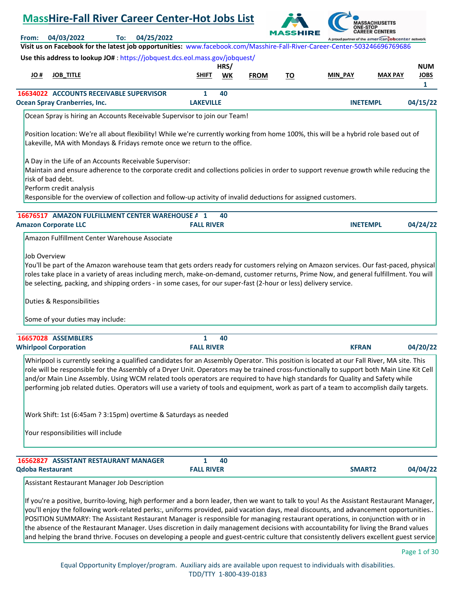# **MassHire-Fall River Career Center-Hot Jobs List REER CENTERS From: 04/03/2022 To: 04/25/2022** d partner of the american obcenter network **Visit us on Facebook for the latest job opportunities:** [www.facebook.com/Masshire-Fall-River-Career-Center-503246696769686](https://www.facebook.com/Masshire-Fall-River-Career-Center-503246696769686) **Use this address to lookup JO#** [: https://jobquest.dcs.eol.mass.gov/jobquest/](https://jobquest.dcs.eol.mass.gov/jobquest/)  **HRS/ NUM JO # JOB\_TITLE SHIFT WK MIN\_PAY MAX PAY JOBS FROM TO 1  [16634022](https://jobquest.dcs.eol.mass.gov/jobquest/NewJobDetails.aspx?jo=16634022) 1 ACCOUNTS RECEIVABLE SUPERVISOR 40 Ocean Spray Cranberries, Inc. LAKEVILLE INETEMPL 04/15/22** Ocean Spray is hiring an Accounts Receivable Supervisor to join our Team! Position location: We're all about flexibility! While we're currently working from home 100%, this will be a hybrid role based out of Lakeville, MA with Mondays & Fridays remote once we return to the office. A Day in the Life of an Accounts Receivable Supervisor: Maintain and ensure adherence to the corporate credit and collections policies in order to support revenue growth while reducing the risk of bad debt. Perform credit analysis Responsible for the overview of collection and follow-up activity of invalid deductions for assigned customers.  **40 16676517 AMAZON FULFILLMENT CENTER WAREHOUSE A 1 Amazon Corporate LLC FALL RIVER INETEMPL 04/24/22** Amazon Fulfillment Center Warehouse Associate Job Overview You'll be part of the Amazon warehouse team that gets orders ready for customers relying on Amazon services. Our fast-paced, physical roles take place in a variety of areas including merch, make-on-demand, customer returns, Prime Now, and general fulfillment. You will be selecting, packing, and shipping orders - in some cases, for our super-fast (2-hour or less) delivery service. Duties & Responsibilities Some of your duties may include: **16657028** ASSEMBLERS **1 40 Whirlpool Corporation FALL RIVER KFRAN 04/20/22** Whirlpool is currently seeking a qualified candidates for an Assembly Operator. This position is located at our Fall River, MA site. This role will be responsible for the Assembly of a Dryer Unit. Operators may be trained cross-functionally to support both Main Line Kit Cell and/or Main Line Assembly. Using WCM related tools operators are required to have high standards for Quality and Safety while performing job related duties. Operators will use a variety of tools and equipment, work as part of a team to accomplish daily targets. Work Shift: 1st (6:45am ? 3:15pm) overtime & Saturdays as needed Your responsibilities will include  **[16562827](https://jobquest.dcs.eol.mass.gov/jobquest/NewJobDetails.aspx?jo=16562827) 1 ASSISTANT RESTAURANT MANAGER 40 Qdoba Restaurant FALL RIVER SMART2 04/04/22** Assistant Restaurant Manager Job Description If you're a positive, burrito-loving, high performer and a born leader, then we want to talk to you! As the Assistant Restaurant Manager, you'll enjoy the following work-related perks:, uniforms provided, paid vacation days, meal discounts, and advancement opportunities..

POSITION SUMMARY: The Assistant Restaurant Manager is responsible for managing restaurant operations, in conjunction with or in the absence of the Restaurant Manager. Uses discretion in daily management decisions with accountability for living the Brand values and helping the brand thrive. Focuses on developing a people and guest-centric culture that consistently delivers excellent guest service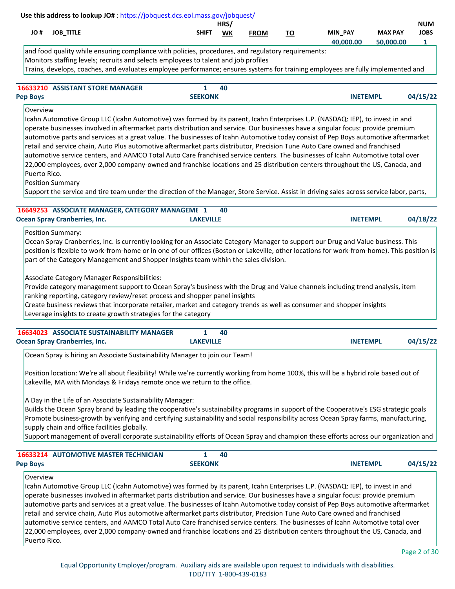|             |                     |              | HRS, |             |    |                          |                  | <b>NUM</b>  |
|-------------|---------------------|--------------|------|-------------|----|--------------------------|------------------|-------------|
| <u>JO #</u> | <b>TITLE</b><br>JOF | <b>SHIFT</b> | WK   | <b>FROM</b> | ΤО | <b>PAY</b><br><b>MIN</b> | <b>MAX PAY</b>   | <b>JOBS</b> |
|             |                     |              |      |             |    | 40.000.00                | non no<br>$\sim$ |             |

and food quality while ensuring compliance with policies, procedures, and regulatory requirements: Monitors staffing levels; recruits and selects employees to talent and job profiles Trains, develops, coaches, and evaluates employee performance; ensures systems for training employees are fully implemented and

|                 | <b>16633210 ASSISTANT STORE MANAGER</b> |                | 40 |                 |          |
|-----------------|-----------------------------------------|----------------|----|-----------------|----------|
| <b>Pep Boys</b> |                                         | <b>SEEKONK</b> |    | <b>INETEMPL</b> | 04/15/22 |

#### Overview

Icahn Automotive Group LLC (Icahn Automotive) was formed by its parent, Icahn Enterprises L.P. (NASDAQ: IEP), to invest in and operate businesses involved in aftermarket parts distribution and service. Our businesses have a singular focus: provide premium automotive parts and services at a great value. The businesses of Icahn Automotive today consist of Pep Boys automotive aftermarket retail and service chain, Auto Plus automotive aftermarket parts distributor, Precision Tune Auto Care owned and franchised automotive service centers, and AAMCO Total Auto Care franchised service centers. The businesses of Icahn Automotive total over 22,000 employees, over 2,000 company-owned and franchise locations and 25 distribution centers throughout the US, Canada, and Puerto Rico.

Position Summary

Support the service and tire team under the direction of the Manager, Store Service. Assist in driving sales across service labor, parts,

| 16649253 ASSOCIATE MANAGER, CATEGORY MANAGEME 1 40 |                  |                 |          |
|----------------------------------------------------|------------------|-----------------|----------|
| <b>Ocean Spray Cranberries, Inc.</b>               | <b>LAKEVILLE</b> | <b>INETEMPL</b> | 04/18/22 |

# Position Summary:

Ocean Spray Cranberries, Inc. is currently looking for an Associate Category Manager to support our Drug and Value business. This position is flexible to work-from-home or in one of our offices (Boston or Lakeville, other locations for work-from-home). This position is part of the Category Management and Shopper Insights team within the sales division.

Associate Category Manager Responsibilities:

Provide category management support to Ocean Spray's business with the Drug and Value channels including trend analysis, item ranking reporting, category review/reset process and shopper panel insights

Create business reviews that incorporate retailer, market and category trends as well as consumer and shopper insights Leverage insights to create growth strategies for the category

| <b>16634023 ASSOCIATE SUSTAINABILITY MANAGER</b> | 40               |                 |          |
|--------------------------------------------------|------------------|-----------------|----------|
| <b>Ocean Spray Cranberries, Inc.</b>             | <b>LAKEVILLE</b> | <b>INETEMPL</b> | 04/15/22 |

Ocean Spray is hiring an Associate Sustainability Manager to join our Team!

Position location: We're all about flexibility! While we're currently working from home 100%, this will be a hybrid role based out of Lakeville, MA with Mondays & Fridays remote once we return to the office.

A Day in the Life of an Associate Sustainability Manager:

Builds the Ocean Spray brand by leading the cooperative's sustainability programs in support of the Cooperative's ESG strategic goals Promote business-growth by verifying and certifying sustainability and social responsibility across Ocean Spray farms, manufacturing, supply chain and office facilities globally.

Support management of overall corporate sustainability efforts of Ocean Spray and champion these efforts across our organization and

| <b>16633214 AUTOMOTIVE MASTER TECHNICIAN</b> |                | 40 |                 |          |
|----------------------------------------------|----------------|----|-----------------|----------|
| <b>Pep Boys</b>                              | <b>SEEKONK</b> |    | <b>INETEMPL</b> | 04/15/22 |

# Overview

Icahn Automotive Group LLC (Icahn Automotive) was formed by its parent, Icahn Enterprises L.P. (NASDAQ: IEP), to invest in and operate businesses involved in aftermarket parts distribution and service. Our businesses have a singular focus: provide premium automotive parts and services at a great value. The businesses of Icahn Automotive today consist of Pep Boys automotive aftermarket retail and service chain, Auto Plus automotive aftermarket parts distributor, Precision Tune Auto Care owned and franchised automotive service centers, and AAMCO Total Auto Care franchised service centers. The businesses of Icahn Automotive total over 22,000 employees, over 2,000 company-owned and franchise locations and 25 distribution centers throughout the US, Canada, and Puerto Rico.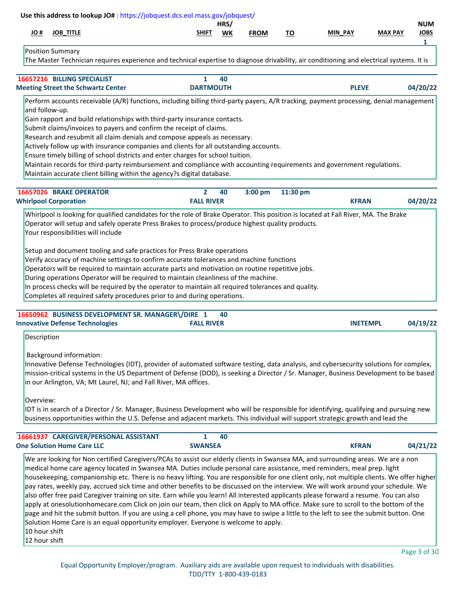|                                | Use this address to lookup JO#: https://jobquest.dcs.eol.mass.gov/jobquest/                                                                                                                                                                                                                                                                                                                                                                                                                                                                                                                                                                                                                                                                                                                                                                                                                                                                                                                                                                                          |                                     |            |             |           |                 |                |                                |
|--------------------------------|----------------------------------------------------------------------------------------------------------------------------------------------------------------------------------------------------------------------------------------------------------------------------------------------------------------------------------------------------------------------------------------------------------------------------------------------------------------------------------------------------------------------------------------------------------------------------------------------------------------------------------------------------------------------------------------------------------------------------------------------------------------------------------------------------------------------------------------------------------------------------------------------------------------------------------------------------------------------------------------------------------------------------------------------------------------------|-------------------------------------|------------|-------------|-----------|-----------------|----------------|--------------------------------|
| # OL                           | <b>JOB_TITLE</b>                                                                                                                                                                                                                                                                                                                                                                                                                                                                                                                                                                                                                                                                                                                                                                                                                                                                                                                                                                                                                                                     | SHIFT                               | HRS/<br>WK | <b>FROM</b> | <u>TO</u> | <b>MIN PAY</b>  | <b>MAX PAY</b> | <b>NUM</b><br><b>JOBS</b><br>1 |
|                                | Position Summary<br>The Master Technician requires experience and technical expertise to diagnose drivability, air conditioning and electrical systems. It is                                                                                                                                                                                                                                                                                                                                                                                                                                                                                                                                                                                                                                                                                                                                                                                                                                                                                                        |                                     |            |             |           |                 |                |                                |
|                                | 16657216 BILLING SPECIALIST<br><b>Meeting Street the Schwartz Center</b>                                                                                                                                                                                                                                                                                                                                                                                                                                                                                                                                                                                                                                                                                                                                                                                                                                                                                                                                                                                             | $\mathbf{1}$<br><b>DARTMOUTH</b>    | 40         |             |           | <b>PLEVE</b>    |                | 04/20/22                       |
|                                | Perform accounts receivable (A/R) functions, including billing third-party payers, A/R tracking, payment processing, denial management<br>and follow-up.<br>Gain rapport and build relationships with third-party insurance contacts.<br>Submit claims/invoices to payers and confirm the receipt of claims.<br>Research and resubmit all claim denials and compose appeals as necessary.<br>Actively follow up with insurance companies and clients for all outstanding accounts.<br>Ensure timely billing of school districts and enter charges for school tuition.<br>Maintain records for third-party reimbursement and compliance with accounting requirements and government regulations.<br>Maintain accurate client billing within the agency?s digital database.                                                                                                                                                                                                                                                                                            |                                     |            |             |           |                 |                |                                |
|                                | 16657026 BRAKE OPERATOR<br><b>Whirlpool Corporation</b>                                                                                                                                                                                                                                                                                                                                                                                                                                                                                                                                                                                                                                                                                                                                                                                                                                                                                                                                                                                                              | $\overline{2}$<br><b>FALL RIVER</b> | 40         | 3:00 pm     | 11:30 pm  | <b>KFRAN</b>    |                | 04/20/22                       |
|                                | Your responsibilities will include<br>Setup and document tooling and safe practices for Press Brake operations<br>Verify accuracy of machine settings to confirm accurate tolerances and machine functions<br>Operators will be required to maintain accurate parts and motivation on routine repetitive jobs.<br>During operations Operator will be required to maintain cleanliness of the machine.<br>In process checks will be required by the operator to maintain all required tolerances and quality.<br>Completes all required safety procedures prior to and during operations.                                                                                                                                                                                                                                                                                                                                                                                                                                                                             |                                     |            |             |           |                 |                |                                |
|                                | 16650962 BUSINESS DEVELOPMENT SR. MANAGER\/DIRE 1<br><b>Innovative Defense Technologies</b>                                                                                                                                                                                                                                                                                                                                                                                                                                                                                                                                                                                                                                                                                                                                                                                                                                                                                                                                                                          | <b>FALL RIVER</b>                   | 40         |             |           | <b>INETEMPL</b> |                | 04/19/22                       |
| Description<br>Overview:       | <b>Background information:</b><br>Innovative Defense Technologies (IDT), provider of automated software testing, data analysis, and cybersecurity solutions for complex,<br>mission-critical systems in the US Department of Defense (DOD), is seeking a Director / Sr. Manager, Business Development to be based<br>in our Arlington, VA; Mt Laurel, NJ; and Fall River, MA offices.<br>IDT is in search of a Director / Sr. Manager, Business Development who will be responsible for identifying, qualifying and pursuing new<br>business opportunities within the U.S. Defense and adjacent markets. This individual will support strategic growth and lead the                                                                                                                                                                                                                                                                                                                                                                                                  |                                     |            |             |           |                 |                |                                |
|                                | 16661937 CAREGIVER/PERSONAL ASSISTANT<br><b>One Solution Home Care LLC</b>                                                                                                                                                                                                                                                                                                                                                                                                                                                                                                                                                                                                                                                                                                                                                                                                                                                                                                                                                                                           | $\mathbf{1}$<br><b>SWANSEA</b>      | 40         |             |           | <b>KFRAN</b>    |                | 04/21/22                       |
| 10 hour shift<br>12 hour shift | We are looking for Non certified Caregivers/PCAs to assist our elderly clients in Swansea MA, and surrounding areas. We are a non<br>medical home care agency located in Swansea MA. Duties include personal care assistance, med reminders, meal prep. light<br>housekeeping, companionship etc. There is no heavy lifting. You are responsible for one client only, not multiple clients. We offer higher<br>pay rates, weekly pay, accrued sick time and other benefits to be discussed on the interview. We will work around your schedule. We<br>also offer free paid Caregiver training on site. Earn while you learn! All interested applicants please forward a resume. You can also<br>apply at onesolutionhomecare.com Click on join our team, then click on Apply to MA office. Make sure to scroll to the bottom of the<br>page and hit the submit button. If you are using a cell phone, you may have to swipe a little to the left to see the submit button. One<br>Solution Home Care is an equal opportunity employer. Everyone is welcome to apply. |                                     |            |             |           |                 |                |                                |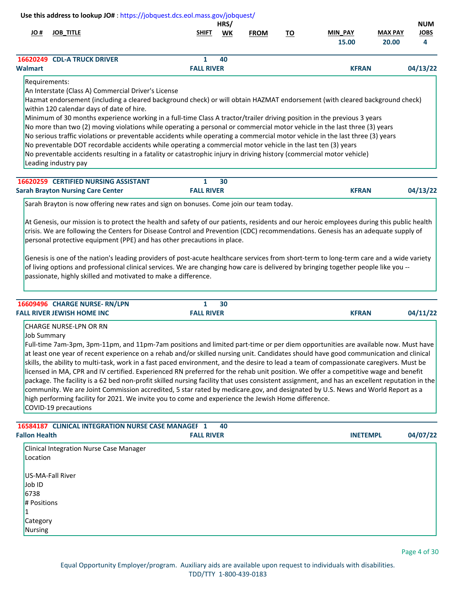|                                                                                                                                           | Use this address to lookup JO#: https://jobquest.dcs.eol.mass.gov/jobquest/                                                                                                                                                                                                                                                                                                                                                                                                                                                                                                                                                                                                                                                                                                                                                                                                                                                                                                                                    |                        |            |             |           |                         |                         |                                |
|-------------------------------------------------------------------------------------------------------------------------------------------|----------------------------------------------------------------------------------------------------------------------------------------------------------------------------------------------------------------------------------------------------------------------------------------------------------------------------------------------------------------------------------------------------------------------------------------------------------------------------------------------------------------------------------------------------------------------------------------------------------------------------------------------------------------------------------------------------------------------------------------------------------------------------------------------------------------------------------------------------------------------------------------------------------------------------------------------------------------------------------------------------------------|------------------------|------------|-------------|-----------|-------------------------|-------------------------|--------------------------------|
| # OL                                                                                                                                      | <b>JOB TITLE</b>                                                                                                                                                                                                                                                                                                                                                                                                                                                                                                                                                                                                                                                                                                                                                                                                                                                                                                                                                                                               | <b>SHIFT</b>           | HRS/<br>WK | <b>FROM</b> | <u>TO</u> | <b>MIN PAY</b><br>15.00 | <b>MAX PAY</b><br>20.00 | <b>NUM</b><br><b>JOBS</b><br>4 |
| <b>Walmart</b>                                                                                                                            | 16620249 CDL-A TRUCK DRIVER                                                                                                                                                                                                                                                                                                                                                                                                                                                                                                                                                                                                                                                                                                                                                                                                                                                                                                                                                                                    | 1<br><b>FALL RIVER</b> | 40         |             |           | <b>KFRAN</b>            |                         | 04/13/22                       |
| Requirements:                                                                                                                             |                                                                                                                                                                                                                                                                                                                                                                                                                                                                                                                                                                                                                                                                                                                                                                                                                                                                                                                                                                                                                |                        |            |             |           |                         |                         |                                |
|                                                                                                                                           | An Interstate (Class A) Commercial Driver's License<br>Hazmat endorsement (including a cleared background check) or will obtain HAZMAT endorsement (with cleared background check)<br>within 120 calendar days of date of hire.<br>Minimum of 30 months experience working in a full-time Class A tractor/trailer driving position in the previous 3 years<br>No more than two (2) moving violations while operating a personal or commercial motor vehicle in the last three (3) years<br>No serious traffic violations or preventable accidents while operating a commercial motor vehicle in the last three (3) years<br>No preventable DOT recordable accidents while operating a commercial motor vehicle in the last ten (3) years<br>No preventable accidents resulting in a fatality or catastrophic injury in driving history (commercial motor vehicle)<br>Leading industry pay                                                                                                                      |                        |            |             |           |                         |                         |                                |
|                                                                                                                                           | 16620259 CERTIFIED NURSING ASSISTANT                                                                                                                                                                                                                                                                                                                                                                                                                                                                                                                                                                                                                                                                                                                                                                                                                                                                                                                                                                           | 1                      | 30         |             |           |                         |                         |                                |
|                                                                                                                                           | <b>Sarah Brayton Nursing Care Center</b>                                                                                                                                                                                                                                                                                                                                                                                                                                                                                                                                                                                                                                                                                                                                                                                                                                                                                                                                                                       | <b>FALL RIVER</b>      |            |             |           | <b>KFRAN</b>            |                         | 04/13/22                       |
| At Genesis, our mission is to protect the health and safety of our patients, residents and our heroic employees during this public health | crisis. We are following the Centers for Disease Control and Prevention (CDC) recommendations. Genesis has an adequate supply of<br>personal protective equipment (PPE) and has other precautions in place.<br>Genesis is one of the nation's leading providers of post-acute healthcare services from short-term to long-term care and a wide variety                                                                                                                                                                                                                                                                                                                                                                                                                                                                                                                                                                                                                                                         |                        |            |             |           |                         |                         |                                |
|                                                                                                                                           | of living options and professional clinical services. We are changing how care is delivered by bringing together people like you --<br>passionate, highly skilled and motivated to make a difference.<br>16609496 CHARGE NURSE- RN/LPN                                                                                                                                                                                                                                                                                                                                                                                                                                                                                                                                                                                                                                                                                                                                                                         | $\mathbf{1}$           | 30         |             |           |                         |                         |                                |
|                                                                                                                                           | <b>FALL RIVER JEWISH HOME INC</b>                                                                                                                                                                                                                                                                                                                                                                                                                                                                                                                                                                                                                                                                                                                                                                                                                                                                                                                                                                              | <b>FALL RIVER</b>      |            |             |           | <b>KFRAN</b>            |                         |                                |
| <b>Job Summary</b>                                                                                                                        | <b>CHARGE NURSE-LPN OR RN</b><br>Full-time 7am-3pm, 3pm-11pm, and 11pm-7am positions and limited part-time or per diem opportunities are available now. Must have<br>at least one year of recent experience on a rehab and/or skilled nursing unit. Candidates should have good communication and clinical<br>skills, the ability to multi-task, work in a fast paced environment, and the desire to lead a team of compassionate caregivers. Must be<br>licensed in MA, CPR and IV certified. Experienced RN preferred for the rehab unit position. We offer a competitive wage and benefit<br>package. The facility is a 62 bed non-profit skilled nursing facility that uses consistent assignment, and has an excellent reputation in the<br>community. We are Joint Commission accredited, 5 star rated by medicare.gov, and designated by U.S. News and World Report as a<br>high performing facility for 2021. We invite you to come and experience the Jewish Home difference.<br>COVID-19 precautions |                        |            |             |           |                         |                         |                                |
| <b>Fallon Health</b>                                                                                                                      | 16584187 CLINICAL INTEGRATION NURSE CASE MANAGEF 1                                                                                                                                                                                                                                                                                                                                                                                                                                                                                                                                                                                                                                                                                                                                                                                                                                                                                                                                                             | <b>FALL RIVER</b>      | 40         |             |           | <b>INETEMPL</b>         |                         | 04/11/22<br>04/07/22           |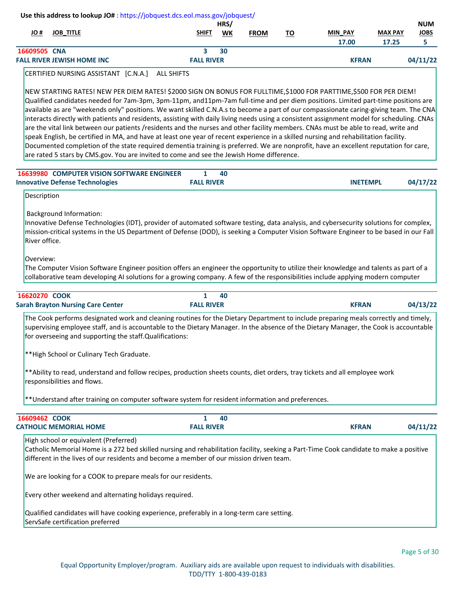| 17.00<br>17.25<br>5.<br>16609505 CNA<br>3<br>30<br>04/11/22<br><b>FALL RIVER JEWISH HOME INC</b><br><b>FALL RIVER</b><br><b>KFRAN</b><br>CERTIFIED NURSING ASSISTANT [C.N.A.]<br><b>ALL SHIFTS</b><br>NEW STARTING RATES! NEW PER DIEM RATES! \$2000 SIGN ON BONUS FOR FULLTIME,\$1000 FOR PARTTIME,\$500 FOR PER DIEM!<br>Qualified candidates needed for 7am-3pm, 3pm-11pm, and11pm-7am full-time and per diem positions. Limited part-time positions are<br>available as are "weekends only" positions. We want skilled C.N.A.s to become a part of our compassionate caring-giving team. The CNA<br>interacts directly with patients and residents, assisting with daily living needs using a consistent assignment model for scheduling. CNAs<br>are the vital link between our patients /residents and the nurses and other facility members. CNAs must be able to read, write and<br>speak English, be certified in MA, and have at least one year of recent experience in a skilled nursing and rehabilitation facility.<br>Documented completion of the state required dementia training is preferred. We are nonprofit, have an excellent reputation for care,<br>are rated 5 stars by CMS.gov. You are invited to come and see the Jewish Home difference.<br><b>16639980 COMPUTER VISION SOFTWARE ENGINEER</b><br>40<br>1<br><b>Innovative Defense Technologies</b><br><b>FALL RIVER</b><br><b>INETEMPL</b><br>Description<br><b>Background Information:</b><br>Innovative Defense Technologies (IDT), provider of automated software testing, data analysis, and cybersecurity solutions for complex,<br>mission-critical systems in the US Department of Defense (DOD), is seeking a Computer Vision Software Engineer to be based in our Fall<br>River office.<br>Overview:<br>The Computer Vision Software Engineer position offers an engineer the opportunity to utilize their knowledge and talents as part of a<br>collaborative team developing AI solutions for a growing company. A few of the responsibilities include applying modern computer<br>16620270 COOK<br>$\mathbf{1}$<br>40<br><b>FALL RIVER</b><br>04/13/22<br><b>Sarah Brayton Nursing Care Center</b><br><b>KFRAN</b> | H OL | <b>JOB TITLE</b> | <b>SHIFT</b> | HRS/<br>WK | <b>FROM</b> | TO | <b>MIN PAY</b> | <b>MAX PAY</b> | <b>NUM</b><br><b>JOBS</b> |
|-------------------------------------------------------------------------------------------------------------------------------------------------------------------------------------------------------------------------------------------------------------------------------------------------------------------------------------------------------------------------------------------------------------------------------------------------------------------------------------------------------------------------------------------------------------------------------------------------------------------------------------------------------------------------------------------------------------------------------------------------------------------------------------------------------------------------------------------------------------------------------------------------------------------------------------------------------------------------------------------------------------------------------------------------------------------------------------------------------------------------------------------------------------------------------------------------------------------------------------------------------------------------------------------------------------------------------------------------------------------------------------------------------------------------------------------------------------------------------------------------------------------------------------------------------------------------------------------------------------------------------------------------------------------------------------------------------------------------------------------------------------------------------------------------------------------------------------------------------------------------------------------------------------------------------------------------------------------------------------------------------------------------------------------------------------------------------------------------------------------------------------------------------------------------------------------------------------|------|------------------|--------------|------------|-------------|----|----------------|----------------|---------------------------|
|                                                                                                                                                                                                                                                                                                                                                                                                                                                                                                                                                                                                                                                                                                                                                                                                                                                                                                                                                                                                                                                                                                                                                                                                                                                                                                                                                                                                                                                                                                                                                                                                                                                                                                                                                                                                                                                                                                                                                                                                                                                                                                                                                                                                             |      |                  |              |            |             |    |                |                |                           |
|                                                                                                                                                                                                                                                                                                                                                                                                                                                                                                                                                                                                                                                                                                                                                                                                                                                                                                                                                                                                                                                                                                                                                                                                                                                                                                                                                                                                                                                                                                                                                                                                                                                                                                                                                                                                                                                                                                                                                                                                                                                                                                                                                                                                             |      |                  |              |            |             |    |                |                |                           |
|                                                                                                                                                                                                                                                                                                                                                                                                                                                                                                                                                                                                                                                                                                                                                                                                                                                                                                                                                                                                                                                                                                                                                                                                                                                                                                                                                                                                                                                                                                                                                                                                                                                                                                                                                                                                                                                                                                                                                                                                                                                                                                                                                                                                             |      |                  |              |            |             |    |                |                |                           |
|                                                                                                                                                                                                                                                                                                                                                                                                                                                                                                                                                                                                                                                                                                                                                                                                                                                                                                                                                                                                                                                                                                                                                                                                                                                                                                                                                                                                                                                                                                                                                                                                                                                                                                                                                                                                                                                                                                                                                                                                                                                                                                                                                                                                             |      |                  |              |            |             |    |                |                |                           |
|                                                                                                                                                                                                                                                                                                                                                                                                                                                                                                                                                                                                                                                                                                                                                                                                                                                                                                                                                                                                                                                                                                                                                                                                                                                                                                                                                                                                                                                                                                                                                                                                                                                                                                                                                                                                                                                                                                                                                                                                                                                                                                                                                                                                             |      |                  |              |            |             |    |                |                |                           |
|                                                                                                                                                                                                                                                                                                                                                                                                                                                                                                                                                                                                                                                                                                                                                                                                                                                                                                                                                                                                                                                                                                                                                                                                                                                                                                                                                                                                                                                                                                                                                                                                                                                                                                                                                                                                                                                                                                                                                                                                                                                                                                                                                                                                             |      |                  |              |            |             |    |                |                |                           |
|                                                                                                                                                                                                                                                                                                                                                                                                                                                                                                                                                                                                                                                                                                                                                                                                                                                                                                                                                                                                                                                                                                                                                                                                                                                                                                                                                                                                                                                                                                                                                                                                                                                                                                                                                                                                                                                                                                                                                                                                                                                                                                                                                                                                             |      |                  |              |            |             |    |                |                |                           |
|                                                                                                                                                                                                                                                                                                                                                                                                                                                                                                                                                                                                                                                                                                                                                                                                                                                                                                                                                                                                                                                                                                                                                                                                                                                                                                                                                                                                                                                                                                                                                                                                                                                                                                                                                                                                                                                                                                                                                                                                                                                                                                                                                                                                             |      |                  |              |            |             |    |                |                |                           |
|                                                                                                                                                                                                                                                                                                                                                                                                                                                                                                                                                                                                                                                                                                                                                                                                                                                                                                                                                                                                                                                                                                                                                                                                                                                                                                                                                                                                                                                                                                                                                                                                                                                                                                                                                                                                                                                                                                                                                                                                                                                                                                                                                                                                             |      |                  |              |            |             |    |                |                |                           |
|                                                                                                                                                                                                                                                                                                                                                                                                                                                                                                                                                                                                                                                                                                                                                                                                                                                                                                                                                                                                                                                                                                                                                                                                                                                                                                                                                                                                                                                                                                                                                                                                                                                                                                                                                                                                                                                                                                                                                                                                                                                                                                                                                                                                             |      |                  |              |            |             |    |                |                |                           |
|                                                                                                                                                                                                                                                                                                                                                                                                                                                                                                                                                                                                                                                                                                                                                                                                                                                                                                                                                                                                                                                                                                                                                                                                                                                                                                                                                                                                                                                                                                                                                                                                                                                                                                                                                                                                                                                                                                                                                                                                                                                                                                                                                                                                             |      |                  |              |            |             |    |                |                |                           |
|                                                                                                                                                                                                                                                                                                                                                                                                                                                                                                                                                                                                                                                                                                                                                                                                                                                                                                                                                                                                                                                                                                                                                                                                                                                                                                                                                                                                                                                                                                                                                                                                                                                                                                                                                                                                                                                                                                                                                                                                                                                                                                                                                                                                             |      |                  |              |            |             |    |                |                |                           |
|                                                                                                                                                                                                                                                                                                                                                                                                                                                                                                                                                                                                                                                                                                                                                                                                                                                                                                                                                                                                                                                                                                                                                                                                                                                                                                                                                                                                                                                                                                                                                                                                                                                                                                                                                                                                                                                                                                                                                                                                                                                                                                                                                                                                             |      |                  |              |            |             |    |                |                |                           |
|                                                                                                                                                                                                                                                                                                                                                                                                                                                                                                                                                                                                                                                                                                                                                                                                                                                                                                                                                                                                                                                                                                                                                                                                                                                                                                                                                                                                                                                                                                                                                                                                                                                                                                                                                                                                                                                                                                                                                                                                                                                                                                                                                                                                             |      |                  |              |            |             |    |                |                |                           |
|                                                                                                                                                                                                                                                                                                                                                                                                                                                                                                                                                                                                                                                                                                                                                                                                                                                                                                                                                                                                                                                                                                                                                                                                                                                                                                                                                                                                                                                                                                                                                                                                                                                                                                                                                                                                                                                                                                                                                                                                                                                                                                                                                                                                             |      |                  |              |            |             |    |                |                |                           |
|                                                                                                                                                                                                                                                                                                                                                                                                                                                                                                                                                                                                                                                                                                                                                                                                                                                                                                                                                                                                                                                                                                                                                                                                                                                                                                                                                                                                                                                                                                                                                                                                                                                                                                                                                                                                                                                                                                                                                                                                                                                                                                                                                                                                             |      |                  |              |            |             |    |                |                | 04/17/22                  |
|                                                                                                                                                                                                                                                                                                                                                                                                                                                                                                                                                                                                                                                                                                                                                                                                                                                                                                                                                                                                                                                                                                                                                                                                                                                                                                                                                                                                                                                                                                                                                                                                                                                                                                                                                                                                                                                                                                                                                                                                                                                                                                                                                                                                             |      |                  |              |            |             |    |                |                |                           |
|                                                                                                                                                                                                                                                                                                                                                                                                                                                                                                                                                                                                                                                                                                                                                                                                                                                                                                                                                                                                                                                                                                                                                                                                                                                                                                                                                                                                                                                                                                                                                                                                                                                                                                                                                                                                                                                                                                                                                                                                                                                                                                                                                                                                             |      |                  |              |            |             |    |                |                |                           |
|                                                                                                                                                                                                                                                                                                                                                                                                                                                                                                                                                                                                                                                                                                                                                                                                                                                                                                                                                                                                                                                                                                                                                                                                                                                                                                                                                                                                                                                                                                                                                                                                                                                                                                                                                                                                                                                                                                                                                                                                                                                                                                                                                                                                             |      |                  |              |            |             |    |                |                |                           |
|                                                                                                                                                                                                                                                                                                                                                                                                                                                                                                                                                                                                                                                                                                                                                                                                                                                                                                                                                                                                                                                                                                                                                                                                                                                                                                                                                                                                                                                                                                                                                                                                                                                                                                                                                                                                                                                                                                                                                                                                                                                                                                                                                                                                             |      |                  |              |            |             |    |                |                |                           |
|                                                                                                                                                                                                                                                                                                                                                                                                                                                                                                                                                                                                                                                                                                                                                                                                                                                                                                                                                                                                                                                                                                                                                                                                                                                                                                                                                                                                                                                                                                                                                                                                                                                                                                                                                                                                                                                                                                                                                                                                                                                                                                                                                                                                             |      |                  |              |            |             |    |                |                |                           |
|                                                                                                                                                                                                                                                                                                                                                                                                                                                                                                                                                                                                                                                                                                                                                                                                                                                                                                                                                                                                                                                                                                                                                                                                                                                                                                                                                                                                                                                                                                                                                                                                                                                                                                                                                                                                                                                                                                                                                                                                                                                                                                                                                                                                             |      |                  |              |            |             |    |                |                |                           |
|                                                                                                                                                                                                                                                                                                                                                                                                                                                                                                                                                                                                                                                                                                                                                                                                                                                                                                                                                                                                                                                                                                                                                                                                                                                                                                                                                                                                                                                                                                                                                                                                                                                                                                                                                                                                                                                                                                                                                                                                                                                                                                                                                                                                             |      |                  |              |            |             |    |                |                |                           |
|                                                                                                                                                                                                                                                                                                                                                                                                                                                                                                                                                                                                                                                                                                                                                                                                                                                                                                                                                                                                                                                                                                                                                                                                                                                                                                                                                                                                                                                                                                                                                                                                                                                                                                                                                                                                                                                                                                                                                                                                                                                                                                                                                                                                             |      |                  |              |            |             |    |                |                |                           |
|                                                                                                                                                                                                                                                                                                                                                                                                                                                                                                                                                                                                                                                                                                                                                                                                                                                                                                                                                                                                                                                                                                                                                                                                                                                                                                                                                                                                                                                                                                                                                                                                                                                                                                                                                                                                                                                                                                                                                                                                                                                                                                                                                                                                             |      |                  |              |            |             |    |                |                |                           |
|                                                                                                                                                                                                                                                                                                                                                                                                                                                                                                                                                                                                                                                                                                                                                                                                                                                                                                                                                                                                                                                                                                                                                                                                                                                                                                                                                                                                                                                                                                                                                                                                                                                                                                                                                                                                                                                                                                                                                                                                                                                                                                                                                                                                             |      |                  |              |            |             |    |                |                |                           |
|                                                                                                                                                                                                                                                                                                                                                                                                                                                                                                                                                                                                                                                                                                                                                                                                                                                                                                                                                                                                                                                                                                                                                                                                                                                                                                                                                                                                                                                                                                                                                                                                                                                                                                                                                                                                                                                                                                                                                                                                                                                                                                                                                                                                             |      |                  |              |            |             |    |                |                |                           |

\*\*High School or Culinary Tech Graduate.

\*\*Ability to read, understand and follow recipes, production sheets counts, diet orders, tray tickets and all employee work responsibilities and flows.

\*\*Understand after training on computer software system for resident information and preferences.

| <b>COOK</b>                                | 40           |  |
|--------------------------------------------|--------------|--|
| <b>HOME</b><br><b>CATHOLIC MEMORIAL --</b> | <b>DIVED</b> |  |
|                                            |              |  |

High school or equivalent (Preferred)

Catholic Memorial Home is a 272 bed skilled nursing and rehabilitation facility, seeking a Part-Time Cook candidate to make a positive different in the lives of our residents and become a member of our mission driven team.

We are looking for a COOK to prepare meals for our residents.

Every other weekend and alternating holidays required.

Qualified candidates will have cooking experience, preferably in a long-term care setting. ServSafe certification preferred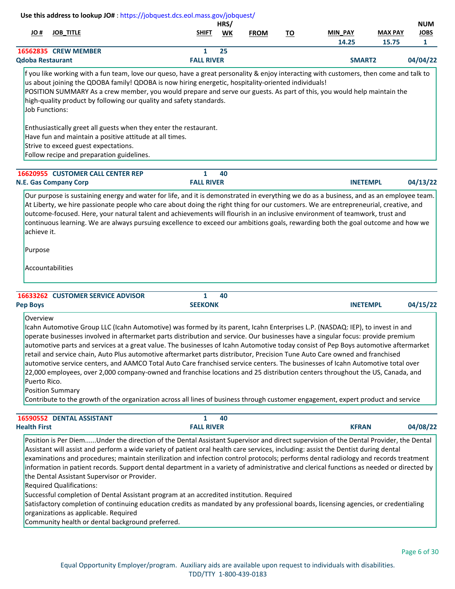|                          | Use this address to lookup JO#: https://jobquest.dcs.eol.mass.gov/jobquest/                                                                                                                                                                                                                                                                                                                                                                                                                                                                                                                                                                                                                                                                                                                                                                                                                                                                                                        |                                |            |             |           |                  |                         |                                           |
|--------------------------|------------------------------------------------------------------------------------------------------------------------------------------------------------------------------------------------------------------------------------------------------------------------------------------------------------------------------------------------------------------------------------------------------------------------------------------------------------------------------------------------------------------------------------------------------------------------------------------------------------------------------------------------------------------------------------------------------------------------------------------------------------------------------------------------------------------------------------------------------------------------------------------------------------------------------------------------------------------------------------|--------------------------------|------------|-------------|-----------|------------------|-------------------------|-------------------------------------------|
| # OL                     | <b>JOB_TITLE</b>                                                                                                                                                                                                                                                                                                                                                                                                                                                                                                                                                                                                                                                                                                                                                                                                                                                                                                                                                                   | <b>SHIFT</b>                   | HRS/<br>WK | <b>FROM</b> | <u>TO</u> | MIN_PAY<br>14.25 | <b>MAX PAY</b><br>15.75 | <b>NUM</b><br><b>JOBS</b><br>$\mathbf{1}$ |
| <b>Qdoba Restaurant</b>  | 16562835 CREW MEMBER                                                                                                                                                                                                                                                                                                                                                                                                                                                                                                                                                                                                                                                                                                                                                                                                                                                                                                                                                               | 1<br><b>FALL RIVER</b>         | 25         |             |           | SMART2           |                         | 04/04/22                                  |
| <b>Job Functions:</b>    | f you like working with a fun team, love our queso, have a great personality & enjoy interacting with customers, then come and talk to<br>us about joining the QDOBA family! QDOBA is now hiring energetic, hospitality-oriented individuals!<br>POSITION SUMMARY As a crew member, you would prepare and serve our guests. As part of this, you would help maintain the<br>high-quality product by following our quality and safety standards.                                                                                                                                                                                                                                                                                                                                                                                                                                                                                                                                    |                                |            |             |           |                  |                         |                                           |
|                          | Enthusiastically greet all guests when they enter the restaurant.<br>Have fun and maintain a positive attitude at all times.<br>Strive to exceed guest expectations.<br>Follow recipe and preparation guidelines.                                                                                                                                                                                                                                                                                                                                                                                                                                                                                                                                                                                                                                                                                                                                                                  |                                |            |             |           |                  |                         |                                           |
|                          | 16620955 CUSTOMER CALL CENTER REP                                                                                                                                                                                                                                                                                                                                                                                                                                                                                                                                                                                                                                                                                                                                                                                                                                                                                                                                                  | $\mathbf{1}$                   | 40         |             |           |                  |                         |                                           |
|                          | <b>N.E. Gas Company Corp</b>                                                                                                                                                                                                                                                                                                                                                                                                                                                                                                                                                                                                                                                                                                                                                                                                                                                                                                                                                       | <b>FALL RIVER</b>              |            |             |           | <b>INETEMPL</b>  |                         | 04/13/22                                  |
| achieve it.<br>Purpose   | At Liberty, we hire passionate people who care about doing the right thing for our customers. We are entrepreneurial, creative, and<br>outcome-focused. Here, your natural talent and achievements will flourish in an inclusive environment of teamwork, trust and<br>continuous learning. We are always pursuing excellence to exceed our ambitions goals, rewarding both the goal outcome and how we<br>Accountabilities                                                                                                                                                                                                                                                                                                                                                                                                                                                                                                                                                        |                                |            |             |           |                  |                         |                                           |
| <b>Pep Boys</b>          | 16633262 CUSTOMER SERVICE ADVISOR                                                                                                                                                                                                                                                                                                                                                                                                                                                                                                                                                                                                                                                                                                                                                                                                                                                                                                                                                  | $\mathbf{1}$<br><b>SEEKONK</b> | 40         |             |           | <b>INETEMPL</b>  |                         | 04/15/22                                  |
| Overview<br>Puerto Rico. | Icahn Automotive Group LLC (Icahn Automotive) was formed by its parent, Icahn Enterprises L.P. (NASDAQ: IEP), to invest in and<br>operate businesses involved in aftermarket parts distribution and service. Our businesses have a singular focus: provide premium<br>automotive parts and services at a great value. The businesses of Icahn Automotive today consist of Pep Boys automotive aftermarket<br>retail and service chain, Auto Plus automotive aftermarket parts distributor, Precision Tune Auto Care owned and franchised<br>automotive service centers, and AAMCO Total Auto Care franchised service centers. The businesses of Icahn Automotive total over<br>22,000 employees, over 2,000 company-owned and franchise locations and 25 distribution centers throughout the US, Canada, and<br><b>Position Summary</b><br>Contribute to the growth of the organization across all lines of business through customer engagement, expert product and service       |                                |            |             |           |                  |                         |                                           |
| <b>Health First</b>      | 16590552 DENTAL ASSISTANT                                                                                                                                                                                                                                                                                                                                                                                                                                                                                                                                                                                                                                                                                                                                                                                                                                                                                                                                                          | 1<br><b>FALL RIVER</b>         | 40         |             |           | <b>KFRAN</b>     |                         | 04/08/22                                  |
|                          | Position is Per DiemUnder the direction of the Dental Assistant Supervisor and direct supervision of the Dental Provider, the Dental<br>Assistant will assist and perform a wide variety of patient oral health care services, including: assist the Dentist during dental<br>examinations and procedures; maintain sterilization and infection control protocols; performs dental radiology and records treatment<br>information in patient records. Support dental department in a variety of administrative and clerical functions as needed or directed by<br>the Dental Assistant Supervisor or Provider.<br><b>Required Qualifications:</b><br>Successful completion of Dental Assistant program at an accredited institution. Required<br>Satisfactory completion of continuing education credits as mandated by any professional boards, licensing agencies, or credentialing<br>organizations as applicable. Required<br>Community health or dental background preferred. |                                |            |             |           |                  |                         |                                           |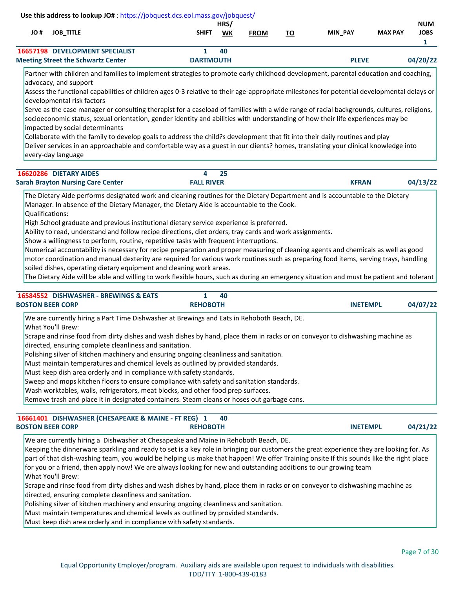| # JO | <b>JOB TITLE</b>                          | <b>SHIFT</b>     | HRS/<br>WK | <b>FROM</b> | ТО | <b>MIN PAY</b> | <b>MAX PAY</b> | <b>NUM</b><br>JOBS |
|------|-------------------------------------------|------------------|------------|-------------|----|----------------|----------------|--------------------|
|      | <b>16657198 DEVELOPMENT SPECIALIST</b>    |                  | 40         |             |    |                |                |                    |
|      | <b>Meeting Street the Schwartz Center</b> | <b>DARTMOUTH</b> |            |             |    | <b>PLEVE</b>   |                | 04/20/22           |

Partner with children and families to implement strategies to promote early childhood development, parental education and coaching, advocacy, and support

Assess the functional capabilities of children ages 0-3 relative to their age-appropriate milestones for potential developmental delays or developmental risk factors

Serve as the case manager or consulting therapist for a caseload of families with a wide range of racial backgrounds, cultures, religions, socioeconomic status, sexual orientation, gender identity and abilities with understanding of how their life experiences may be impacted by social determinants

Collaborate with the family to develop goals to address the child?s development that fit into their daily routines and play

Deliver services in an approachable and comfortable way as a guest in our clients? homes, translating your clinical knowledge into every-day language

| 16620286 DIETARY AIDES                   |                   |  |              |          |
|------------------------------------------|-------------------|--|--------------|----------|
| <b>Sarah Brayton Nursing Care Center</b> | <b>FALL RIVER</b> |  | <b>KFRAN</b> | 04/13/22 |

The Dietary Aide performs designated work and cleaning routines for the Dietary Department and is accountable to the Dietary Manager. In absence of the Dietary Manager, the Dietary Aide is accountable to the Cook.

Qualifications:

High School graduate and previous institutional dietary service experience is preferred.

Ability to read, understand and follow recipe directions, diet orders, tray cards and work assignments.

Show a willingness to perform, routine, repetitive tasks with frequent interruptions.

Numerical accountability is necessary for recipe preparation and proper measuring of cleaning agents and chemicals as well as good motor coordination and manual dexterity are required for various work routines such as preparing food items, serving trays, handling soiled dishes, operating dietary equipment and cleaning work areas.

The Dietary Aide will be able and willing to work flexible hours, such as during an emergency situation and must be patient and tolerant

| 16584552 DISHWASHER - BREWINGS & EATS<br><b>BOSTON BEER CORP</b>     | 40<br><b>REHOBOTH</b>                                                                                                         | <b>INETEMPL</b> |
|----------------------------------------------------------------------|-------------------------------------------------------------------------------------------------------------------------------|-----------------|
|                                                                      | We are currently hiring a Part Time Dishwasher at Brewings and Eats in Rehoboth Beach, DE.                                    |                 |
| What You'll Brew:                                                    |                                                                                                                               |                 |
|                                                                      | Scrape and rinse food from dirty dishes and wash dishes by hand, place them in racks or on conveyor to dishwashing machine as |                 |
| directed, ensuring complete cleanliness and sanitation.              |                                                                                                                               |                 |
|                                                                      | Polishing silver of kitchen machinery and ensuring ongoing cleanliness and sanitation.                                        |                 |
|                                                                      | Must maintain temperatures and chemical levels as outlined by provided standards.                                             |                 |
| Must keep dish area orderly and in compliance with safety standards. |                                                                                                                               |                 |
|                                                                      | Sweep and mops kitchen floors to ensure compliance with safety and sanitation standards.                                      |                 |
|                                                                      | Wash worktables, walls, refrigerators, meat blocks, and other food prep surfaces.                                             |                 |
|                                                                      | Remove trash and place it in designated containers. Steam cleans or hoses out garbage cans.                                   |                 |

#### **[16661401](https://jobquest.dcs.eol.mass.gov/jobquest/NewJobDetails.aspx?jo=16661401) 1 DISHWASHER (CHESAPEAKE & MAINE - FT REG) 04/21/22 40 BOSTON BEER CORP REHOBOTH INETEMPL**

We are currently hiring a Dishwasher at Chesapeake and Maine in Rehoboth Beach, DE.

Keeping the dinnerware sparkling and ready to set is a key role in bringing our customers the great experience they are looking for. As part of that dish-washing team, you would be helping us make that happen! We offer Training onsite If this sounds like the right place for you or a friend, then apply now! We are always looking for new and outstanding additions to our growing team What You'll Brew:

Scrape and rinse food from dirty dishes and wash dishes by hand, place them in racks or on conveyor to dishwashing machine as directed, ensuring complete cleanliness and sanitation.

Polishing silver of kitchen machinery and ensuring ongoing cleanliness and sanitation.

Must maintain temperatures and chemical levels as outlined by provided standards.

Must keep dish area orderly and in compliance with safety standards.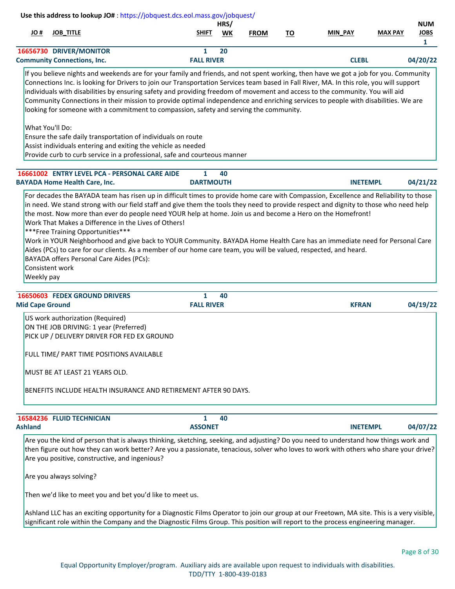|     |                                                                                                                                                                                                                                                                                                                                                                                                                                                                                                         |                        | HRS/ |             |           |                 |                | <b>NUM</b>   |
|-----|---------------------------------------------------------------------------------------------------------------------------------------------------------------------------------------------------------------------------------------------------------------------------------------------------------------------------------------------------------------------------------------------------------------------------------------------------------------------------------------------------------|------------------------|------|-------------|-----------|-----------------|----------------|--------------|
| JO# | <b>JOB TITLE</b>                                                                                                                                                                                                                                                                                                                                                                                                                                                                                        | <b>SHIFT</b>           | WK   | <b>FROM</b> | <u>TO</u> | <b>MIN PAY</b>  | <b>MAX PAY</b> | <b>JOBS</b>  |
|     |                                                                                                                                                                                                                                                                                                                                                                                                                                                                                                         |                        |      |             |           |                 |                | $\mathbf{1}$ |
|     | 16656730 DRIVER/MONITOR<br><b>Community Connections, Inc.</b>                                                                                                                                                                                                                                                                                                                                                                                                                                           | 1<br><b>FALL RIVER</b> | 20   |             |           | <b>CLEBL</b>    |                | 04/20/22     |
|     |                                                                                                                                                                                                                                                                                                                                                                                                                                                                                                         |                        |      |             |           |                 |                |              |
|     | Connections Inc. is looking for Drivers to join our Transportation Services team based in Fall River, MA. In this role, you will support<br>individuals with disabilities by ensuring safety and providing freedom of movement and access to the community. You will aid<br>Community Connections in their mission to provide optimal independence and enriching services to people with disabilities. We are<br>looking for someone with a commitment to compassion, safety and serving the community. |                        |      |             |           |                 |                |              |
|     | What You'll Do:<br>Ensure the safe daily transportation of individuals on route<br>Assist individuals entering and exiting the vehicle as needed                                                                                                                                                                                                                                                                                                                                                        |                        |      |             |           |                 |                |              |
|     | Provide curb to curb service in a professional, safe and courteous manner                                                                                                                                                                                                                                                                                                                                                                                                                               |                        |      |             |           |                 |                |              |
|     | 16661002 ENTRY LEVEL PCA - PERSONAL CARE AIDE                                                                                                                                                                                                                                                                                                                                                                                                                                                           | 1                      | 40   |             |           |                 |                |              |
|     | <b>BAYADA Home Health Care, Inc.</b><br>For decades the BAYADA team has risen up in difficult times to provide home care with Compassion, Excellence and Reliability to those                                                                                                                                                                                                                                                                                                                           | <b>DARTMOUTH</b>       |      |             |           | <b>INETEMPL</b> |                | 04/21/22     |

| <b>16650603 FEDEX GROUND DRIVERS</b><br><b>Mid Cape Ground</b>   | 40<br><b>FALL RIVER</b> | <b>KFRAN</b> | 04/19/22 |  |
|------------------------------------------------------------------|-------------------------|--------------|----------|--|
| US work authorization (Required)                                 |                         |              |          |  |
| ON THE JOB DRIVING: 1 year (Preferred)                           |                         |              |          |  |
| PICK UP / DELIVERY DRIVER FOR FED EX GROUND                      |                         |              |          |  |
| FULL TIME/ PART TIME POSITIONS AVAILABLE                         |                         |              |          |  |
| MUST BE AT LEAST 21 YEARS OLD.                                   |                         |              |          |  |
| IBENEFITS INCLUDE HEALTH INSURANCE AND RETIREMENT AFTER 90 DAYS. |                         |              |          |  |
|                                                                  |                         |              |          |  |

|                | 16584236 FLUID TECHNICIAN |                | 40 |                 |          |
|----------------|---------------------------|----------------|----|-----------------|----------|
| <b>Ashland</b> |                           | <b>ASSONET</b> |    | <b>INETEMPL</b> | 04/07/22 |

Are you the kind of person that is always thinking, sketching, seeking, and adjusting? Do you need to understand how things work and then figure out how they can work better? Are you a passionate, tenacious, solver who loves to work with others who share your drive? Are you positive, constructive, and ingenious?

Are you always solving?

Then we'd like to meet you and bet you'd like to meet us.

Ashland LLC has an exciting opportunity for a Diagnostic Films Operator to join our group at our Freetown, MA site. This is a very visible, significant role within the Company and the Diagnostic Films Group. This position will report to the process engineering manager.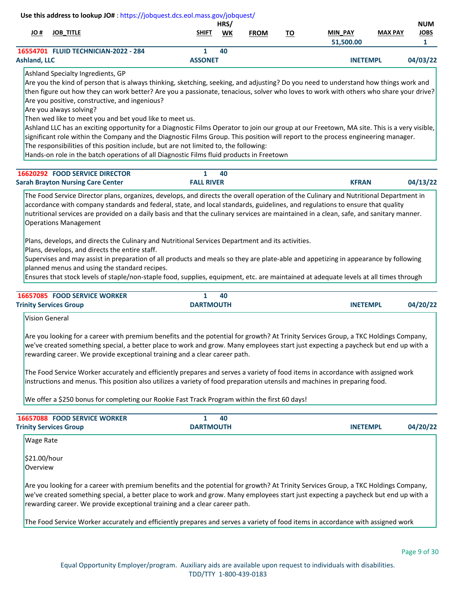|              | Use this address to lookup JO#: https://jobquest.dcs.eol.mass.gov/jobquest/ |                |      |             |    |                 |                |             |
|--------------|-----------------------------------------------------------------------------|----------------|------|-------------|----|-----------------|----------------|-------------|
|              |                                                                             |                | HRS/ |             |    |                 |                | <b>NUM</b>  |
| # JO         | <b>JOB TITLE</b>                                                            | <b>SHIFT</b>   | WK   | <b>FROM</b> | то | <b>MIN PAY</b>  | <b>MAX PAY</b> | <b>JOBS</b> |
|              |                                                                             |                |      |             |    | 51,500.00       |                |             |
|              | 16554701 FLUID TECHNICIAN-2022 - 284                                        |                | 40   |             |    |                 |                |             |
| Ashland. LLC |                                                                             | <b>ASSONET</b> |      |             |    | <b>INETEMPL</b> |                | 04/03/22    |
|              | Ashland Specialty Ingredients, GP                                           |                |      |             |    |                 |                |             |

Are you the kind of person that is always thinking, sketching, seeking, and adjusting? Do you need to understand how things work and then figure out how they can work better? Are you a passionate, tenacious, solver who loves to work with others who share your drive? Are you positive, constructive, and ingenious?

Are you always solving?

Then wed like to meet you and bet youd like to meet us.

Ashland LLC has an exciting opportunity for a Diagnostic Films Operator to join our group at our Freetown, MA site. This is a very visible, significant role within the Company and the Diagnostic Films Group. This position will report to the process engineering manager.

The responsibilities of this position include, but are not limited to, the following:

Hands-on role in the batch operations of all Diagnostic Films fluid products in Freetown

| <b>16620292 FOOD SERVICE DIRECTOR</b>    |                   | -40 |              |          |
|------------------------------------------|-------------------|-----|--------------|----------|
| <b>Sarah Brayton Nursing Care Center</b> | <b>FALL RIVER</b> |     | <b>KFRAN</b> | 04/13/22 |

The Food Service Director plans, organizes, develops, and directs the overall operation of the Culinary and Nutritional Department in accordance with company standards and federal, state, and local standards, guidelines, and regulations to ensure that quality nutritional services are provided on a daily basis and that the culinary services are maintained in a clean, safe, and sanitary manner. Operations Management

Plans, develops, and directs the Culinary and Nutritional Services Department and its activities.

Plans, develops, and directs the entire staff.

Supervises and may assist in preparation of all products and meals so they are plate-able and appetizing in appearance by following planned menus and using the standard recipes.

Ensures that stock levels of staple/non-staple food, supplies, equipment, etc. are maintained at adequate levels at all times through

| <b>16657085 FOOD SERVICE WORKER</b> | 40               |                             |  |
|-------------------------------------|------------------|-----------------------------|--|
| <b>Trinity Services Group</b>       | <b>DARTMOUTH</b> | 04/20/22<br><b>INETEMPL</b> |  |

Vision General

Are you looking for a career with premium benefits and the potential for growth? At Trinity Services Group, a TKC Holdings Company, we've created something special, a better place to work and grow. Many employees start just expecting a paycheck but end up with a rewarding career. We provide exceptional training and a clear career path.

The Food Service Worker accurately and efficiently prepares and serves a variety of food items in accordance with assigned work instructions and menus. This position also utilizes a variety of food preparation utensils and machines in preparing food.

We offer a \$250 bonus for completing our Rookie Fast Track Program within the first 60 days!

| 40                                                                         |                 |                                                                                                                                                                                                                                                                           |
|----------------------------------------------------------------------------|-----------------|---------------------------------------------------------------------------------------------------------------------------------------------------------------------------------------------------------------------------------------------------------------------------|
| <b>DARTMOUTH</b>                                                           | <b>INETEMPL</b> | 04/20/22                                                                                                                                                                                                                                                                  |
|                                                                            |                 |                                                                                                                                                                                                                                                                           |
|                                                                            |                 |                                                                                                                                                                                                                                                                           |
|                                                                            |                 |                                                                                                                                                                                                                                                                           |
| rewarding career. We provide exceptional training and a clear career path. |                 |                                                                                                                                                                                                                                                                           |
|                                                                            |                 | Are you looking for a career with premium benefits and the potential for growth? At Trinity Services Group, a TKC Holdings Company,<br>we've created something special, a better place to work and grow. Many employees start just expecting a paycheck but end up with a |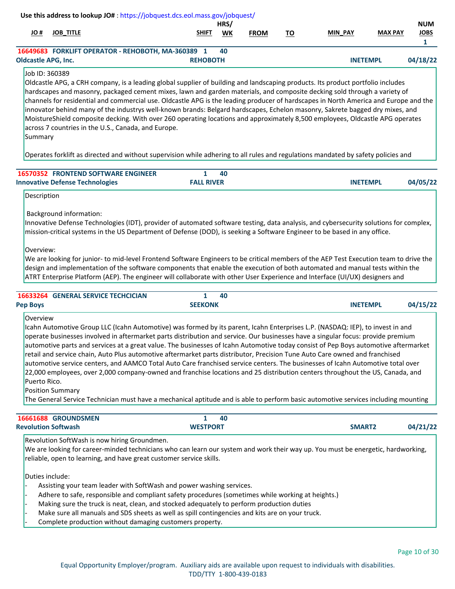|                                                                                                                                                                                                                                                                                                                                                                                      |                  | Use this address to lookup JO#: https://jobquest.dcs.eol.mass.gov/jobquest/ |      |             |    |                 |                |             |
|--------------------------------------------------------------------------------------------------------------------------------------------------------------------------------------------------------------------------------------------------------------------------------------------------------------------------------------------------------------------------------------|------------------|-----------------------------------------------------------------------------|------|-------------|----|-----------------|----------------|-------------|
|                                                                                                                                                                                                                                                                                                                                                                                      |                  |                                                                             | HRS/ |             |    |                 |                | <b>NUM</b>  |
| JO #                                                                                                                                                                                                                                                                                                                                                                                 | <b>JOB TITLE</b> | <b>SHIFT</b>                                                                | WK   | <b>FROM</b> | ΤO | <b>MIN_PAY</b>  | <b>MAX PAY</b> | <b>JOBS</b> |
|                                                                                                                                                                                                                                                                                                                                                                                      |                  |                                                                             |      |             |    |                 |                |             |
|                                                                                                                                                                                                                                                                                                                                                                                      |                  | 16649683 FORKLIFT OPERATOR - REHOBOTH, MA-360389 1                          | 40   |             |    |                 |                |             |
| <b>Oldcastle APG, Inc.</b>                                                                                                                                                                                                                                                                                                                                                           |                  | <b>REHOBOTH</b>                                                             |      |             |    | <b>INETEMPL</b> |                | 04/18/22    |
| $\overline{1}$ $\overline{1}$ $\overline{2}$ $\overline{2}$ $\overline{2}$ $\overline{2}$ $\overline{2}$ $\overline{2}$ $\overline{2}$ $\overline{2}$ $\overline{2}$ $\overline{2}$ $\overline{2}$ $\overline{2}$ $\overline{2}$ $\overline{2}$ $\overline{2}$ $\overline{2}$ $\overline{2}$ $\overline{2}$ $\overline{2}$ $\overline{2}$ $\overline{2}$ $\overline{2}$ $\overline{$ |                  |                                                                             |      |             |    |                 |                |             |

## Job ID: 360389

Oldcastle APG, a CRH company, is a leading global supplier of building and landscaping products. Its product portfolio includes hardscapes and masonry, packaged cement mixes, lawn and garden materials, and composite decking sold through a variety of channels for residential and commercial use. Oldcastle APG is the leading producer of hardscapes in North America and Europe and the innovator behind many of the industrys well-known brands: Belgard hardscapes, Echelon masonry, Sakrete bagged dry mixes, and MoistureShield composite decking. With over 260 operating locations and approximately 8,500 employees, Oldcastle APG operates across 7 countries in the U.S., Canada, and Europe.

**Summary** 

Operates forklift as directed and without supervision while adhering to all rules and regulations mandated by safety policies and

| <b>16570352 FRONTEND SOFTWARE ENGINEER</b> | 40                |                 |          |
|--------------------------------------------|-------------------|-----------------|----------|
| <b>Innovative Defense Technologies</b>     | <b>FALL RIVER</b> | <b>INETEMPL</b> | 04/05/22 |

Description

# Background information:

Innovative Defense Technologies (IDT), provider of automated software testing, data analysis, and cybersecurity solutions for complex, mission-critical systems in the US Department of Defense (DOD), is seeking a Software Engineer to be based in any office.

Overview:

We are looking for junior- to mid-level Frontend Software Engineers to be critical members of the AEP Test Execution team to drive the design and implementation of the software components that enable the execution of both automated and manual tests within the ATRT Enterprise Platform (AEP). The engineer will collaborate with other User Experience and Interface (UI/UX) designers and

| <b>GENERAL SERVICE TECHCICIAN</b><br>16633264 | 40             |                             |
|-----------------------------------------------|----------------|-----------------------------|
| <b>Pep Boys</b>                               | <b>SEEKONK</b> | 04/15/22<br><b>INETEMPL</b> |

# Overview

Icahn Automotive Group LLC (Icahn Automotive) was formed by its parent, Icahn Enterprises L.P. (NASDAQ: IEP), to invest in and operate businesses involved in aftermarket parts distribution and service. Our businesses have a singular focus: provide premium automotive parts and services at a great value. The businesses of Icahn Automotive today consist of Pep Boys automotive aftermarket retail and service chain, Auto Plus automotive aftermarket parts distributor, Precision Tune Auto Care owned and franchised automotive service centers, and AAMCO Total Auto Care franchised service centers. The businesses of Icahn Automotive total over 22,000 employees, over 2,000 company-owned and franchise locations and 25 distribution centers throughout the US, Canada, and Puerto Rico.

Position Summary

The General Service Technician must have a mechanical aptitude and is able to perform basic automotive services including mounting

| <b>16661688 GROUNDSMEN</b> |                 | 40 |               |          |
|----------------------------|-----------------|----|---------------|----------|
| <b>Revolution Softwash</b> | <b>WESTPORT</b> |    | <b>SMART2</b> | 04/21/22 |

Revolution SoftWash is now hiring Groundmen.

We are looking for career-minded technicians who can learn our system and work their way up. You must be energetic, hardworking, reliable, open to learning, and have great customer service skills.

Duties include:

- Assisting your team leader with SoftWash and power washing services.
- Adhere to safe, responsible and compliant safety procedures (sometimes while working at heights.)
- Making sure the truck is neat, clean, and stocked adequately to perform production duties
- Make sure all manuals and SDS sheets as well as spill contingencies and kits are on your truck.
- Complete production without damaging customers property.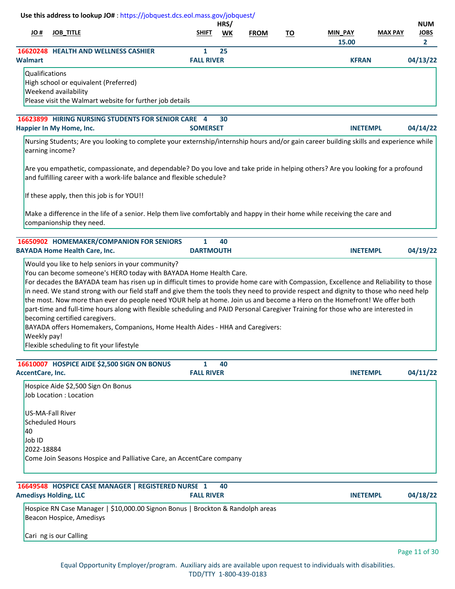|                                                          |                   | HRS/ |             |           |                |                | <b>NUM</b>  |
|----------------------------------------------------------|-------------------|------|-------------|-----------|----------------|----------------|-------------|
| # JO<br><b>JOB TITLE</b>                                 | <b>SHIFT</b>      | WK   | <b>FROM</b> | <u>TO</u> | <b>MIN PAY</b> | <b>MAX PAY</b> | <b>JOBS</b> |
|                                                          |                   |      |             |           | 15.00          |                | 2           |
| <b>16620248 HEALTH AND WELLNESS CASHIER</b>              |                   | 25   |             |           |                |                |             |
| <b>Walmart</b>                                           | <b>FALL RIVER</b> |      |             |           | <b>KFRAN</b>   |                | 04/13/22    |
| Qualifications                                           |                   |      |             |           |                |                |             |
| High school or equivalent (Preferred)                    |                   |      |             |           |                |                |             |
| <b>Weekend availability</b>                              |                   |      |             |           |                |                |             |
| Please visit the Walmart website for further job details |                   |      |             |           |                |                |             |
|                                                          |                   |      |             |           |                |                |             |
| 16622800 HIDING NUDCING STUDENTS EOD SENIOD CADE         |                   | 20   |             |           |                |                |             |

| 16623899 HIRING NURSING STUDENTS FOR SENIOR CARE 4 30 |                 |                 |
|-------------------------------------------------------|-----------------|-----------------|
| Happier In My Home, Inc.                              | <b>SOMERSET</b> | <b>INETEMPL</b> |

Nursing Students; Are you looking to complete your externship/internship hours and/or gain career building skills and experience while earning income?

Are you empathetic, compassionate, and dependable? Do you love and take pride in helping others? Are you looking for a profound and fulfilling career with a work-life balance and flexible schedule?

If these apply, then this job is for YOU!!

Make a difference in the life of a senior. Help them live comfortably and happy in their home while receiving the care and companionship they need.

| 16650902 HOMEMAKER/COMPANION FOR SENIORS<br><b>BAYADA Home Health Care, Inc.</b>                                                                                                                                                                                                                                                                                                                                                                                                                                                                                                                                                                                                                                                                                                                                                                         | <b>DARTMOUTH</b> | 40 | <b>INETEMPL</b> | 04/19/22 |
|----------------------------------------------------------------------------------------------------------------------------------------------------------------------------------------------------------------------------------------------------------------------------------------------------------------------------------------------------------------------------------------------------------------------------------------------------------------------------------------------------------------------------------------------------------------------------------------------------------------------------------------------------------------------------------------------------------------------------------------------------------------------------------------------------------------------------------------------------------|------------------|----|-----------------|----------|
| Would you like to help seniors in your community?<br>You can become someone's HERO today with BAYADA Home Health Care.<br>For decades the BAYADA team has risen up in difficult times to provide home care with Compassion, Excellence and Reliability to those<br>in need. We stand strong with our field staff and give them the tools they need to provide respect and dignity to those who need help<br>the most. Now more than ever do people need YOUR help at home. Join us and become a Hero on the Homefront! We offer both<br>part-time and full-time hours along with flexible scheduling and PAID Personal Caregiver Training for those who are interested in<br>becoming certified caregivers.<br>BAYADA offers Homemakers, Companions, Home Health Aides - HHA and Caregivers:<br>Weekly pay!<br>Flexible scheduling to fit your lifestyle |                  |    |                 |          |

| 16610007 HOSPICE AIDE \$2,500 SIGN ON BONUS                          | 40                |                 |          |
|----------------------------------------------------------------------|-------------------|-----------------|----------|
| <b>AccentCare, Inc.</b>                                              | <b>FALL RIVER</b> | <b>INETEMPL</b> | 04/11/22 |
| Hospice Aide \$2,500 Sign On Bonus                                   |                   |                 |          |
| Job Location: Location                                               |                   |                 |          |
| US-MA-Fall River                                                     |                   |                 |          |
| Scheduled Hours                                                      |                   |                 |          |
| 140                                                                  |                   |                 |          |
| Job ID                                                               |                   |                 |          |
| 2022-18884                                                           |                   |                 |          |
| Come Join Seasons Hospice and Palliative Care, an AccentCare company |                   |                 |          |
|                                                                      |                   |                 |          |

| 16649548 HOSPICE CASE MANAGER   REGISTERED NURSE 1 40<br><b>Amedisys Holding, LLC</b> | <b>FALL RIVER</b>                                                              | <b>INETEMPL</b> | 04/18/22 |
|---------------------------------------------------------------------------------------|--------------------------------------------------------------------------------|-----------------|----------|
| Beacon Hospice, Amedisys                                                              | Hospice RN Case Manager   \$10,000.00 Signon Bonus   Brockton & Randolph areas |                 |          |
| Cari ng is our Calling                                                                |                                                                                |                 |          |

**04/14/22**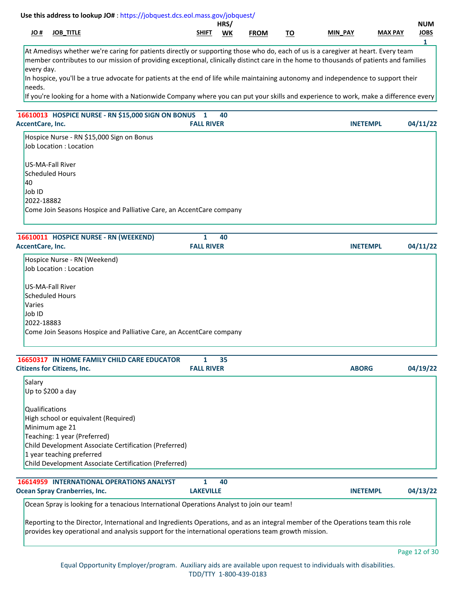|           |              |                         | <b>HRS</b> |             |                                       |            |                | <b>NUM</b>    |
|-----------|--------------|-------------------------|------------|-------------|---------------------------------------|------------|----------------|---------------|
| .<br>JU # | TITLE<br>IOB | <b>SHIFT</b><br>_______ | <b>WK</b>  | <b>FROM</b> | --<br>. J<br>$\overline{\phantom{a}}$ | PAY<br>MIN | <b>MAX PAY</b> | JOBS<br>_____ |
|           |              |                         |            |             |                                       |            |                |               |

At Amedisys whether we're caring for patients directly or supporting those who do, each of us is a caregiver at heart. Every team member contributes to our mission of providing exceptional, clinically distinct care in the home to thousands of patients and families every day.

In hospice, you'll be a true advocate for patients at the end of life while maintaining autonomy and independence to support their needs.

If you're looking for a home with a Nationwide Company where you can put your skills and experience to work, make a difference every

# **[16610013](https://jobquest.dcs.eol.mass.gov/jobquest/NewJobDetails.aspx?jo=16610013) 1 HOSPICE NURSE - RN \$15,000 SIGN ON BONUS 04/11/22 40** Hospice Nurse - RN \$15,000 Sign on Bonus Job Location : Location US-MA-Fall River Scheduled Hours 40 Job ID 2022-18882 Come Join Seasons Hospice and Palliative Care, an AccentCare company **AccentCare, Inc. FALL RIVER INETEMPL**

| 16610011 HOSPICE NURSE - RN (WEEKEND)                                | 40<br><b>FALL RIVER</b> | <b>INETEMPL</b> | 04/11/22 |
|----------------------------------------------------------------------|-------------------------|-----------------|----------|
| AccentCare, Inc.                                                     |                         |                 |          |
| Hospice Nurse - RN (Weekend)                                         |                         |                 |          |
| Job Location: Location                                               |                         |                 |          |
| US-MA-Fall River                                                     |                         |                 |          |
| Scheduled Hours                                                      |                         |                 |          |
| <b>Varies</b>                                                        |                         |                 |          |
| Job ID                                                               |                         |                 |          |
| 2022-18883                                                           |                         |                 |          |
| Come Join Seasons Hospice and Palliative Care, an AccentCare company |                         |                 |          |
|                                                                      |                         |                 |          |

| <b>Citizens for Citizens, Inc.</b>                    | <b>FALL RIVER</b> | <b>ABORG</b> | 04/19/22 |
|-------------------------------------------------------|-------------------|--------------|----------|
| Salary                                                |                   |              |          |
| Up to \$200 a day                                     |                   |              |          |
| Qualifications                                        |                   |              |          |
| High school or equivalent (Required)                  |                   |              |          |
| Minimum age 21                                        |                   |              |          |
| Teaching: 1 year (Preferred)                          |                   |              |          |
| Child Development Associate Certification (Preferred) |                   |              |          |
| 1 year teaching preferred                             |                   |              |          |
| Child Development Associate Certification (Preferred) |                   |              |          |

| <b>16614959 INTERNATIONAL OPERATIONS ANALYST</b> | 40               |                 |          |
|--------------------------------------------------|------------------|-----------------|----------|
| <b>Ocean Spray Cranberries, Inc.</b>             | <b>LAKEVILLE</b> | <b>INETEMPL</b> | 04/13/22 |
|                                                  |                  |                 |          |

Ocean Spray is looking for a tenacious International Operations Analyst to join our team!

Reporting to the Director, International and Ingredients Operations, and as an integral member of the Operations team this role provides key operational and analysis support for the international operations team growth mission.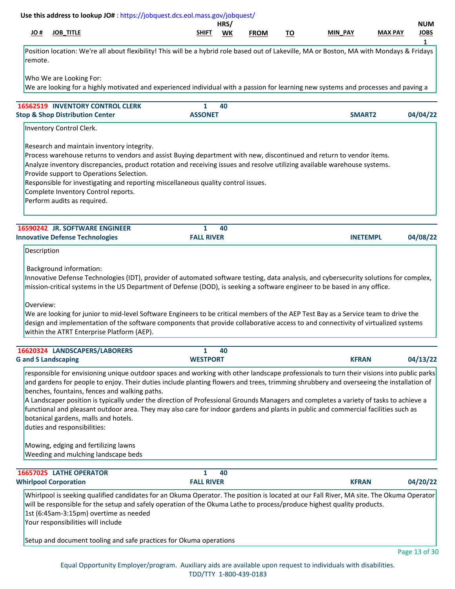# **JO # JOB\_TITLE SHIFT WK MIN\_PAY MAX PAY JOBS HRS/ NUM FROM TO Use this address to lookup JO#** [: https://jobquest.dcs.eol.mass.gov/jobquest/](https://jobquest.dcs.eol.mass.gov/jobquest/)   **1** Position location: We're all about flexibility! This will be a hybrid role based out of Lakeville, MA or Boston, MA with Mondays & Fridays remote. Who We are Looking For: We are looking for a highly motivated and experienced individual with a passion for learning new systems and processes and paving a  **[16562519](https://jobquest.dcs.eol.mass.gov/jobquest/NewJobDetails.aspx?jo=16562519) 1 INVENTORY CONTROL CLERK 04/04/22 40** Inventory Control Clerk. Research and maintain inventory integrity. Process warehouse returns to vendors and assist Buying department with new, discontinued and return to vendor items. Analyze inventory discrepancies, product rotation and receiving issues and resolve utilizing available warehouse systems. Provide support to Operations Selection. Responsible for investigating and reporting miscellaneous quality control issues. Complete Inventory Control reports. Perform audits as required. **Stop & Shop Distribution Center ASSONET SMART2  [16590242](https://jobquest.dcs.eol.mass.gov/jobquest/NewJobDetails.aspx?jo=16590242) 1 JR. SOFTWARE ENGINEER 04/08/22 40** Description Background information: Innovative Defense Technologies (IDT), provider of automated software testing, data analysis, and cybersecurity solutions for complex, mission-critical systems in the US Department of Defense (DOD), is seeking a software engineer to be based in any office. Overview: We are looking for junior to mid-level Software Engineers to be critical members of the AEP Test Bay as a Service team to drive the design and implementation of the software components that provide collaborative access to and connectivity of virtualized systems within the ATRT Enterprise Platform (AEP). **Innovative Defense Technologies FALL RIVER INETEMPL  [16620324](https://jobquest.dcs.eol.mass.gov/jobquest/NewJobDetails.aspx?jo=16620324) 1 LANDSCAPERS/LABORERS 04/13/22 40** responsible for envisioning unique outdoor spaces and working with other landscape professionals to turn their visions into public parks and gardens for people to enjoy. Their duties include planting flowers and trees, trimming shrubbery and overseeing the installation of benches, fountains, fences and walking paths. A Landscaper position is typically under the direction of Professional Grounds Managers and completes a variety of tasks to achieve a functional and pleasant outdoor area. They may also care for indoor gardens and plants in public and commercial facilities such as botanical gardens, malls and hotels. duties and responsibilities: Mowing, edging and fertilizing lawns Weeding and mulching landscape beds **G and S Landscaping WESTPORT KFRAN  [16657025](https://jobquest.dcs.eol.mass.gov/jobquest/NewJobDetails.aspx?jo=16657025) 1 LATHE OPERATOR 04/20/22 40** Whirlpool is seeking qualified candidates for an Okuma Operator. The position is located at our Fall River, MA site. The Okuma Operator will be responsible for the setup and safely operation of the Okuma Lathe to process/produce highest quality products. 1st (6:45am-3:15pm) overtime as needed Your responsibilities will include Setup and document tooling and safe practices for Okuma operations **Whirlpool Corporation FALL RIVER KFRAN**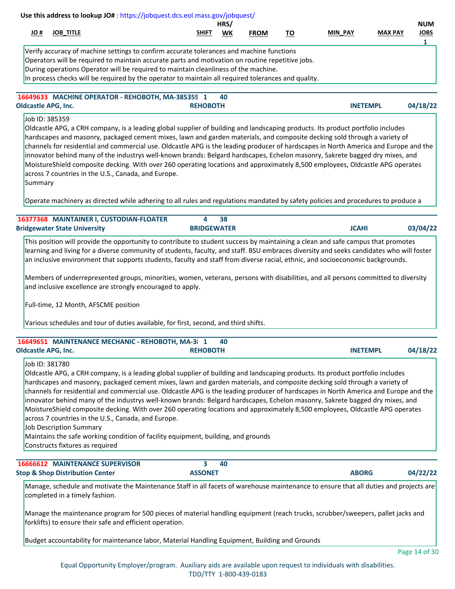|         |                                                                                     | Use this address to lookup JO#: https://jobquest.dcs.eol.mass.gov/jobquest/                                                                                                                                                                                                                                                                                                                                                                                                                                                                                                                                                                                                                                                                                                                                                                                       |                    | HRS/ |             |           |         |                 |                           |
|---------|-------------------------------------------------------------------------------------|-------------------------------------------------------------------------------------------------------------------------------------------------------------------------------------------------------------------------------------------------------------------------------------------------------------------------------------------------------------------------------------------------------------------------------------------------------------------------------------------------------------------------------------------------------------------------------------------------------------------------------------------------------------------------------------------------------------------------------------------------------------------------------------------------------------------------------------------------------------------|--------------------|------|-------------|-----------|---------|-----------------|---------------------------|
| # JO    | <b>JOB_TITLE</b>                                                                    |                                                                                                                                                                                                                                                                                                                                                                                                                                                                                                                                                                                                                                                                                                                                                                                                                                                                   | SHIFT              | WK   | <b>FROM</b> | <u>TO</u> | MIN_PAY | <b>MAX PAY</b>  | <b>NUM</b><br><b>JOBS</b> |
|         |                                                                                     | Verify accuracy of machine settings to confirm accurate tolerances and machine functions<br>Operators will be required to maintain accurate parts and motivation on routine repetitive jobs.<br>During operations Operator will be required to maintain cleanliness of the machine.<br>In process checks will be required by the operator to maintain all required tolerances and quality.                                                                                                                                                                                                                                                                                                                                                                                                                                                                        |                    |      |             |           |         |                 | 1                         |
|         | <b>Oldcastle APG, Inc.</b>                                                          | 16649633 MACHINE OPERATOR - REHOBOTH, MA-385359 1                                                                                                                                                                                                                                                                                                                                                                                                                                                                                                                                                                                                                                                                                                                                                                                                                 | <b>REHOBOTH</b>    | 40   |             |           |         | <b>INETEMPL</b> | 04/18/22                  |
| Summary | Job ID: 385359                                                                      | Oldcastle APG, a CRH company, is a leading global supplier of building and landscaping products. Its product portfolio includes<br>hardscapes and masonry, packaged cement mixes, lawn and garden materials, and composite decking sold through a variety of<br>channels for residential and commercial use. Oldcastle APG is the leading producer of hardscapes in North America and Europe and the<br>innovator behind many of the industrys well-known brands: Belgard hardscapes, Echelon masonry, Sakrete bagged dry mixes, and<br>MoistureShield composite decking. With over 260 operating locations and approximately 8,500 employees, Oldcastle APG operates<br>across 7 countries in the U.S., Canada, and Europe.<br>Operate machinery as directed while adhering to all rules and regulations mandated by safety policies and procedures to produce a |                    |      |             |           |         |                 |                           |
|         |                                                                                     | 16377368 MAINTAINER I, CUSTODIAN-FLOATER                                                                                                                                                                                                                                                                                                                                                                                                                                                                                                                                                                                                                                                                                                                                                                                                                          | 4                  | 38   |             |           |         |                 |                           |
|         | <b>Bridgewater State University</b>                                                 |                                                                                                                                                                                                                                                                                                                                                                                                                                                                                                                                                                                                                                                                                                                                                                                                                                                                   | <b>BRIDGEWATER</b> |      |             |           |         | <b>JCAHI</b>    | 03/04/22                  |
|         |                                                                                     | an inclusive environment that supports students, faculty and staff from diverse racial, ethnic, and socioeconomic backgrounds.<br>Members of underrepresented groups, minorities, women, veterans, persons with disabilities, and all persons committed to diversity<br>and inclusive excellence are strongly encouraged to apply.<br>Full-time, 12 Month, AFSCME position<br>Various schedules and tour of duties available, for first, second, and third shifts.                                                                                                                                                                                                                                                                                                                                                                                                |                    |      |             |           |         |                 |                           |
|         | <b>Oldcastle APG, Inc.</b>                                                          | 16649651 MAINTENANCE MECHANIC - REHOBOTH, MA-3  1                                                                                                                                                                                                                                                                                                                                                                                                                                                                                                                                                                                                                                                                                                                                                                                                                 | <b>REHOBOTH</b>    | 40   |             |           |         | <b>INETEMPL</b> | 04/18/22                  |
|         | Job ID: 381780<br><b>Job Description Summary</b><br>Constructs fixtures as required | Oldcastle APG, a CRH company, is a leading global supplier of building and landscaping products. Its product portfolio includes<br>hardscapes and masonry, packaged cement mixes, lawn and garden materials, and composite decking sold through a variety of<br>channels for residential and commercial use. Oldcastle APG is the leading producer of hardscapes in North America and Europe and the<br>innovator behind many of the industrys well-known brands: Belgard hardscapes, Echelon masonry, Sakrete bagged dry mixes, and<br>MoistureShield composite decking. With over 260 operating locations and approximately 8,500 employees, Oldcastle APG operates<br>across 7 countries in the U.S., Canada, and Europe.<br>Maintains the safe working condition of facility equipment, building, and grounds                                                 |                    |      |             |           |         |                 |                           |
|         |                                                                                     | 16666612 MAINTENANCE SUPERVISOR                                                                                                                                                                                                                                                                                                                                                                                                                                                                                                                                                                                                                                                                                                                                                                                                                                   | 3                  | 40   |             |           |         |                 |                           |
|         | <b>Stop &amp; Shop Distribution Center</b><br>completed in a timely fashion.        | Manage, schedule and motivate the Maintenance Staff in all facets of warehouse maintenance to ensure that all duties and projects are                                                                                                                                                                                                                                                                                                                                                                                                                                                                                                                                                                                                                                                                                                                             | <b>ASSONET</b>     |      |             |           |         | <b>ABORG</b>    | 04/22/22                  |
|         |                                                                                     | Manage the maintenance program for 500 pieces of material handling equipment (reach trucks, scrubber/sweepers, pallet jacks and<br>forklifts) to ensure their safe and efficient operation.                                                                                                                                                                                                                                                                                                                                                                                                                                                                                                                                                                                                                                                                       |                    |      |             |           |         |                 |                           |
|         |                                                                                     | Budget accountability for maintenance labor, Material Handling Equipment, Building and Grounds                                                                                                                                                                                                                                                                                                                                                                                                                                                                                                                                                                                                                                                                                                                                                                    |                    |      |             |           |         |                 |                           |
|         |                                                                                     |                                                                                                                                                                                                                                                                                                                                                                                                                                                                                                                                                                                                                                                                                                                                                                                                                                                                   |                    |      |             |           |         |                 | Page 14 of 30             |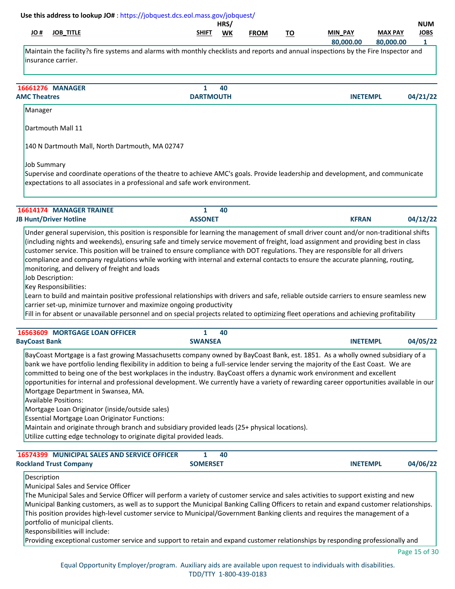| <b>JOB_TITLE</b><br># JO                                                                                                                                                                                                                                                                                                                                                                                                                                                                                                                                                                                                                                                                                                                                                                                                                                                                        | SHIFT            | HRS/ |             |           | MIN_PAY         | <b>MAX PAY</b> | <b>NUM</b><br><b>JOBS</b> |
|-------------------------------------------------------------------------------------------------------------------------------------------------------------------------------------------------------------------------------------------------------------------------------------------------------------------------------------------------------------------------------------------------------------------------------------------------------------------------------------------------------------------------------------------------------------------------------------------------------------------------------------------------------------------------------------------------------------------------------------------------------------------------------------------------------------------------------------------------------------------------------------------------|------------------|------|-------------|-----------|-----------------|----------------|---------------------------|
|                                                                                                                                                                                                                                                                                                                                                                                                                                                                                                                                                                                                                                                                                                                                                                                                                                                                                                 |                  | WK   | <b>FROM</b> | <u>TO</u> | 80,000.00       | 80,000.00      | $\mathbf{1}$              |
| Maintain the facility?s fire systems and alarms with monthly checklists and reports and annual inspections by the Fire Inspector and<br>insurance carrier.                                                                                                                                                                                                                                                                                                                                                                                                                                                                                                                                                                                                                                                                                                                                      |                  |      |             |           |                 |                |                           |
| <b>16661276 MANAGER</b>                                                                                                                                                                                                                                                                                                                                                                                                                                                                                                                                                                                                                                                                                                                                                                                                                                                                         | $\mathbf{1}$     | 40   |             |           |                 |                |                           |
| <b>AMC Theatres</b>                                                                                                                                                                                                                                                                                                                                                                                                                                                                                                                                                                                                                                                                                                                                                                                                                                                                             | <b>DARTMOUTH</b> |      |             |           | <b>INETEMPL</b> |                | 04/21/22                  |
| Manager                                                                                                                                                                                                                                                                                                                                                                                                                                                                                                                                                                                                                                                                                                                                                                                                                                                                                         |                  |      |             |           |                 |                |                           |
| Dartmouth Mall 11                                                                                                                                                                                                                                                                                                                                                                                                                                                                                                                                                                                                                                                                                                                                                                                                                                                                               |                  |      |             |           |                 |                |                           |
| 140 N Dartmouth Mall, North Dartmouth, MA 02747                                                                                                                                                                                                                                                                                                                                                                                                                                                                                                                                                                                                                                                                                                                                                                                                                                                 |                  |      |             |           |                 |                |                           |
| <b>Job Summary</b><br>Supervise and coordinate operations of the theatre to achieve AMC's goals. Provide leadership and development, and communicate<br>expectations to all associates in a professional and safe work environment.                                                                                                                                                                                                                                                                                                                                                                                                                                                                                                                                                                                                                                                             |                  |      |             |           |                 |                |                           |
| 16614174 MANAGER TRAINEE                                                                                                                                                                                                                                                                                                                                                                                                                                                                                                                                                                                                                                                                                                                                                                                                                                                                        | $\mathbf{1}$     | 40   |             |           |                 |                |                           |
| <b>JB Hunt/Driver Hotline</b>                                                                                                                                                                                                                                                                                                                                                                                                                                                                                                                                                                                                                                                                                                                                                                                                                                                                   | <b>ASSONET</b>   |      |             |           | <b>KFRAN</b>    |                | 04/12/22                  |
| Job Description:<br>Key Responsibilities:<br>Learn to build and maintain positive professional relationships with drivers and safe, reliable outside carriers to ensure seamless new<br>carrier set-up, minimize turnover and maximize ongoing productivity<br>Fill in for absent or unavailable personnel and on special projects related to optimizing fleet operations and achieving profitability                                                                                                                                                                                                                                                                                                                                                                                                                                                                                           |                  |      |             |           |                 |                |                           |
| 16563609 MORTGAGE LOAN OFFICER                                                                                                                                                                                                                                                                                                                                                                                                                                                                                                                                                                                                                                                                                                                                                                                                                                                                  | 1                | 40   |             |           |                 |                |                           |
| <b>BayCoast Bank</b>                                                                                                                                                                                                                                                                                                                                                                                                                                                                                                                                                                                                                                                                                                                                                                                                                                                                            | <b>SWANSEA</b>   |      |             |           | <b>INETEMPL</b> |                | 04/05/22                  |
| BayCoast Mortgage is a fast growing Massachusetts company owned by BayCoast Bank, est. 1851. As a wholly owned subsidiary of a<br>bank we have portfolio lending flexibility in addition to being a full-service lender serving the majority of the East Coast. We are<br>committed to being one of the best workplaces in the industry. BayCoast offers a dynamic work environment and excellent<br>opportunities for internal and professional development. We currently have a variety of rewarding career opportunities available in our<br>Mortgage Department in Swansea, MA.<br><b>Available Positions:</b><br>Mortgage Loan Originator (inside/outside sales)<br>Essential Mortgage Loan Originator Functions:<br>Maintain and originate through branch and subsidiary provided leads (25+ physical locations).<br>Utilize cutting edge technology to originate digital provided leads. |                  |      |             |           |                 |                |                           |
| 16574399 MUNICIPAL SALES AND SERVICE OFFICER                                                                                                                                                                                                                                                                                                                                                                                                                                                                                                                                                                                                                                                                                                                                                                                                                                                    | 1                | 40   |             |           |                 |                |                           |
| <b>Rockland Trust Company</b>                                                                                                                                                                                                                                                                                                                                                                                                                                                                                                                                                                                                                                                                                                                                                                                                                                                                   | <b>SOMERSET</b>  |      |             |           | <b>INETEMPL</b> |                | 04/06/22                  |
| Description<br>Municipal Sales and Service Officer<br>The Municipal Sales and Service Officer will perform a variety of customer service and sales activities to support existing and new<br>Municipal Banking customers, as well as to support the Municipal Banking Calling Officers to retain and expand customer relationships.<br>This position provides high-level customer service to Municipal/Government Banking clients and requires the management of a<br>portfolio of municipal clients.<br>Responsibilities will include:<br>Providing exceptional customer service and support to retain and expand customer relationships by responding professionally and                                                                                                                                                                                                                      |                  |      |             |           |                 |                |                           |

Page 15 of 30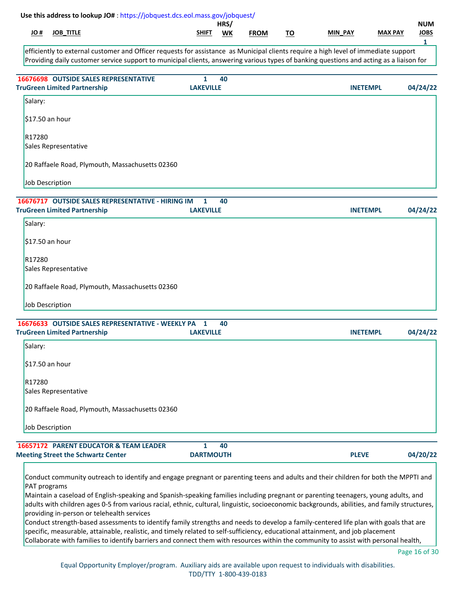| SHIFT | <b>WK</b>                                                                                                                                                                                                                                                                       | <b>FROM</b>                                                    | <u>TO</u> | MIN_PAY | <b>MAX PAY</b>                   | <b>JOBS</b>                                                                                                                                                                                                                                                                                                                             |
|-------|---------------------------------------------------------------------------------------------------------------------------------------------------------------------------------------------------------------------------------------------------------------------------------|----------------------------------------------------------------|-----------|---------|----------------------------------|-----------------------------------------------------------------------------------------------------------------------------------------------------------------------------------------------------------------------------------------------------------------------------------------------------------------------------------------|
|       |                                                                                                                                                                                                                                                                                 |                                                                |           |         |                                  | $\mathbf{1}$                                                                                                                                                                                                                                                                                                                            |
|       |                                                                                                                                                                                                                                                                                 |                                                                |           |         |                                  |                                                                                                                                                                                                                                                                                                                                         |
|       |                                                                                                                                                                                                                                                                                 |                                                                |           |         |                                  | 04/24/22                                                                                                                                                                                                                                                                                                                                |
|       |                                                                                                                                                                                                                                                                                 |                                                                |           |         |                                  |                                                                                                                                                                                                                                                                                                                                         |
|       |                                                                                                                                                                                                                                                                                 |                                                                |           |         |                                  |                                                                                                                                                                                                                                                                                                                                         |
|       |                                                                                                                                                                                                                                                                                 |                                                                |           |         |                                  |                                                                                                                                                                                                                                                                                                                                         |
|       |                                                                                                                                                                                                                                                                                 |                                                                |           |         |                                  |                                                                                                                                                                                                                                                                                                                                         |
|       |                                                                                                                                                                                                                                                                                 |                                                                |           |         |                                  |                                                                                                                                                                                                                                                                                                                                         |
| 1     | 40                                                                                                                                                                                                                                                                              |                                                                |           |         |                                  | 04/24/22                                                                                                                                                                                                                                                                                                                                |
|       |                                                                                                                                                                                                                                                                                 |                                                                |           |         |                                  |                                                                                                                                                                                                                                                                                                                                         |
|       |                                                                                                                                                                                                                                                                                 |                                                                |           |         |                                  |                                                                                                                                                                                                                                                                                                                                         |
|       |                                                                                                                                                                                                                                                                                 |                                                                |           |         |                                  |                                                                                                                                                                                                                                                                                                                                         |
|       |                                                                                                                                                                                                                                                                                 |                                                                |           |         |                                  |                                                                                                                                                                                                                                                                                                                                         |
|       |                                                                                                                                                                                                                                                                                 |                                                                |           |         |                                  |                                                                                                                                                                                                                                                                                                                                         |
|       |                                                                                                                                                                                                                                                                                 |                                                                |           |         |                                  |                                                                                                                                                                                                                                                                                                                                         |
| 1     | 40                                                                                                                                                                                                                                                                              |                                                                |           |         |                                  | 04/24/22                                                                                                                                                                                                                                                                                                                                |
|       |                                                                                                                                                                                                                                                                                 |                                                                |           |         |                                  |                                                                                                                                                                                                                                                                                                                                         |
|       |                                                                                                                                                                                                                                                                                 |                                                                |           |         |                                  |                                                                                                                                                                                                                                                                                                                                         |
|       |                                                                                                                                                                                                                                                                                 |                                                                |           |         |                                  |                                                                                                                                                                                                                                                                                                                                         |
|       |                                                                                                                                                                                                                                                                                 |                                                                |           |         |                                  |                                                                                                                                                                                                                                                                                                                                         |
|       |                                                                                                                                                                                                                                                                                 |                                                                |           |         |                                  |                                                                                                                                                                                                                                                                                                                                         |
|       |                                                                                                                                                                                                                                                                                 |                                                                |           |         |                                  |                                                                                                                                                                                                                                                                                                                                         |
| 1     | 40                                                                                                                                                                                                                                                                              |                                                                |           |         |                                  | 04/20/22                                                                                                                                                                                                                                                                                                                                |
|       | $\mathbf{1}$<br>20 Raffaele Road, Plymouth, Massachusetts 02360<br>16676717 OUTSIDE SALES REPRESENTATIVE - HIRING IM<br>20 Raffaele Road, Plymouth, Massachusetts 02360<br>16676633 OUTSIDE SALES REPRESENTATIVE - WEEKLY PA<br>20 Raffaele Road, Plymouth, Massachusetts 02360 | 40<br><b>LAKEVILLE</b><br><b>LAKEVILLE</b><br><b>LAKEVILLE</b> |           |         | <b>DARTMOUTH</b><br><b>PLEVE</b> | efficiently to external customer and Officer requests for assistance as Municipal clients require a high level of immediate support<br>Providing daily customer service support to municipal clients, answering various types of banking questions and acting as a liaison for<br><b>INETEMPL</b><br><b>INETEMPL</b><br><b>INETEMPL</b> |

Conduct community outreach to identify and engage pregnant or parenting teens and adults and their children for both the MPPTI and PAT programs

Maintain a caseload of English-speaking and Spanish-speaking families including pregnant or parenting teenagers, young adults, and adults with children ages 0-5 from various racial, ethnic, cultural, linguistic, socioeconomic backgrounds, abilities, and family structures, providing in-person or telehealth services

Conduct strength-based assessments to identify family strengths and needs to develop a family-centered life plan with goals that are specific, measurable, attainable, realistic, and timely related to self-sufficiency, educational attainment, and job placement Collaborate with families to identify barriers and connect them with resources within the community to assist with personal health,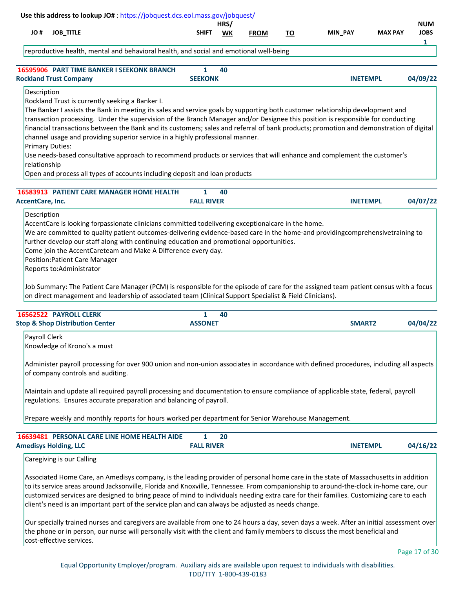|                                                       | Use this address to lookup JO#: https://jobquest.dcs.eol.mass.gov/jobquest/                                                                                                                                                                                                                                                                                                                                                                                                                                                                                                                                                                                                                                                                             |                                | HRS/ |             |           |                 |                | <b>NUM</b>       |
|-------------------------------------------------------|---------------------------------------------------------------------------------------------------------------------------------------------------------------------------------------------------------------------------------------------------------------------------------------------------------------------------------------------------------------------------------------------------------------------------------------------------------------------------------------------------------------------------------------------------------------------------------------------------------------------------------------------------------------------------------------------------------------------------------------------------------|--------------------------------|------|-------------|-----------|-----------------|----------------|------------------|
| # JO                                                  | <b>JOB_TITLE</b>                                                                                                                                                                                                                                                                                                                                                                                                                                                                                                                                                                                                                                                                                                                                        | SHIFT                          | WK   | <b>FROM</b> | <u>TO</u> | MIN_PAY         | <b>MAX PAY</b> | <b>JOBS</b><br>1 |
|                                                       | reproductive health, mental and behavioral health, and social and emotional well-being                                                                                                                                                                                                                                                                                                                                                                                                                                                                                                                                                                                                                                                                  |                                |      |             |           |                 |                |                  |
|                                                       | 16595906 PART TIME BANKER I SEEKONK BRANCH<br><b>Rockland Trust Company</b>                                                                                                                                                                                                                                                                                                                                                                                                                                                                                                                                                                                                                                                                             | $\mathbf{1}$<br><b>SEEKONK</b> | 40   |             |           | <b>INETEMPL</b> |                | 04/09/22         |
| Description<br><b>Primary Duties:</b><br>relationship | Rockland Trust is currently seeking a Banker I.<br>The Banker I assists the Bank in meeting its sales and service goals by supporting both customer relationship development and<br>transaction processing. Under the supervision of the Branch Manager and/or Designee this position is responsible for conducting<br>financial transactions between the Bank and its customers; sales and referral of bank products; promotion and demonstration of digital<br>channel usage and providing superior service in a highly professional manner.<br>Use needs-based consultative approach to recommend products or services that will enhance and complement the customer's<br>Open and process all types of accounts including deposit and loan products |                                |      |             |           |                 |                |                  |
|                                                       | <b>16583913 PATIENT CARE MANAGER HOME HEALTH</b>                                                                                                                                                                                                                                                                                                                                                                                                                                                                                                                                                                                                                                                                                                        | 1                              | 40   |             |           |                 |                |                  |
| <b>AccentCare, Inc.</b>                               |                                                                                                                                                                                                                                                                                                                                                                                                                                                                                                                                                                                                                                                                                                                                                         | <b>FALL RIVER</b>              |      |             |           | <b>INETEMPL</b> |                | 04/07/22         |
|                                                       | AccentCare is looking forpassionate clinicians committed todelivering exceptionalcare in the home.<br>We are committed to quality patient outcomes-delivering evidence-based care in the home-and providingcomprehensivetraining to<br>further develop our staff along with continuing education and promotional opportunities.<br>Come join the AccentCareteam and Make A Difference every day.<br><b>Position:Patient Care Manager</b><br>Reports to:Administrator<br>Job Summary: The Patient Care Manager (PCM) is responsible for the episode of care for the assigned team patient census with a focus<br>on direct management and leadership of associated team (Clinical Support Specialist & Field Clinicians).                                |                                |      |             |           |                 |                |                  |
|                                                       | 16562522 PAYROLL CLERK<br><b>Stop &amp; Shop Distribution Center</b>                                                                                                                                                                                                                                                                                                                                                                                                                                                                                                                                                                                                                                                                                    | $\mathbf{1}$<br><b>ASSONET</b> | 40   |             |           | SMART2          |                | 04/04/22         |
| Payroll Clerk                                         | Knowledge of Krono's a must<br>Administer payroll processing for over 900 union and non-union associates in accordance with defined procedures, including all aspects<br>of company controls and auditing.                                                                                                                                                                                                                                                                                                                                                                                                                                                                                                                                              |                                |      |             |           |                 |                |                  |
|                                                       | Maintain and update all required payroll processing and documentation to ensure compliance of applicable state, federal, payroll<br>regulations. Ensures accurate preparation and balancing of payroll.                                                                                                                                                                                                                                                                                                                                                                                                                                                                                                                                                 |                                |      |             |           |                 |                |                  |
|                                                       | Prepare weekly and monthly reports for hours worked per department for Senior Warehouse Management.                                                                                                                                                                                                                                                                                                                                                                                                                                                                                                                                                                                                                                                     |                                |      |             |           |                 |                |                  |
|                                                       | 16639481 PERSONAL CARE LINE HOME HEALTH AIDE<br><b>Amedisys Holding, LLC</b>                                                                                                                                                                                                                                                                                                                                                                                                                                                                                                                                                                                                                                                                            | 1<br><b>FALL RIVER</b>         | 20   |             |           | <b>INETEMPL</b> |                | 04/16/22         |
|                                                       | Caregiving is our Calling                                                                                                                                                                                                                                                                                                                                                                                                                                                                                                                                                                                                                                                                                                                               |                                |      |             |           |                 |                |                  |
|                                                       | Associated Home Care, an Amedisys company, is the leading provider of personal home care in the state of Massachusetts in addition<br>to its service areas around Jacksonville, Florida and Knoxville, Tennessee. From companionship to around-the-clock in-home care, our<br>customized services are designed to bring peace of mind to individuals needing extra care for their families. Customizing care to each<br>client's need is an important part of the service plan and can always be adjusted as needs change.                                                                                                                                                                                                                              |                                |      |             |           |                 |                |                  |
|                                                       | Our specially trained nurses and caregivers are available from one to 24 hours a day, seven days a week. After an initial assessment over<br>the phone or in person, our nurse will personally visit with the client and family members to discuss the most beneficial and<br>cost-effective services.                                                                                                                                                                                                                                                                                                                                                                                                                                                  |                                |      |             |           |                 |                | Page 17 of 30    |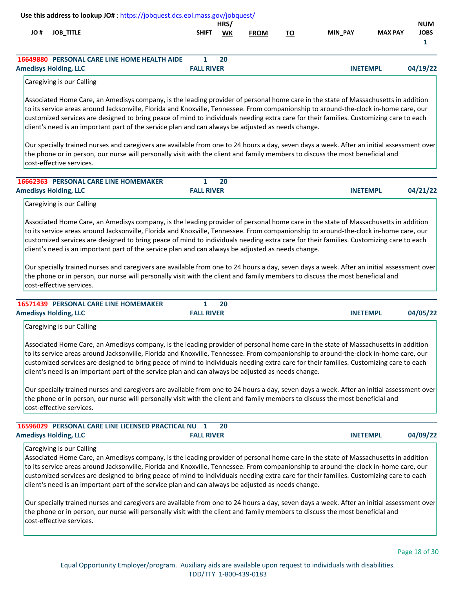| H OL | Use this address to lookup JO#: https://jobquest.dcs.eol.mass.gov/jobquest/<br><b>JOB_TITLE</b>                                                                                                                                                                                                                                                                                                                                                                                                                                                                                                                                                                                                                                                                                                                                                                                                   | <b>SHIFT</b>                      | HRS/<br>WK | <b>FROM</b> | <u>TO</u> | MIN_PAY         | <b>MAX PAY</b> | <b>NUM</b><br><b>JOBS</b><br>$\mathbf{1}$ |
|------|---------------------------------------------------------------------------------------------------------------------------------------------------------------------------------------------------------------------------------------------------------------------------------------------------------------------------------------------------------------------------------------------------------------------------------------------------------------------------------------------------------------------------------------------------------------------------------------------------------------------------------------------------------------------------------------------------------------------------------------------------------------------------------------------------------------------------------------------------------------------------------------------------|-----------------------------------|------------|-------------|-----------|-----------------|----------------|-------------------------------------------|
|      | 16649880 PERSONAL CARE LINE HOME HEALTH AIDE<br><b>Amedisys Holding, LLC</b>                                                                                                                                                                                                                                                                                                                                                                                                                                                                                                                                                                                                                                                                                                                                                                                                                      | $\mathbf{1}$<br><b>FALL RIVER</b> | 20         |             |           | <b>INETEMPL</b> |                | 04/19/22                                  |
|      | Caregiving is our Calling                                                                                                                                                                                                                                                                                                                                                                                                                                                                                                                                                                                                                                                                                                                                                                                                                                                                         |                                   |            |             |           |                 |                |                                           |
|      | Associated Home Care, an Amedisys company, is the leading provider of personal home care in the state of Massachusetts in addition<br>to its service areas around Jacksonville, Florida and Knoxville, Tennessee. From companionship to around-the-clock in-home care, our<br>customized services are designed to bring peace of mind to individuals needing extra care for their families. Customizing care to each<br>client's need is an important part of the service plan and can always be adjusted as needs change.                                                                                                                                                                                                                                                                                                                                                                        |                                   |            |             |           |                 |                |                                           |
|      | Our specially trained nurses and caregivers are available from one to 24 hours a day, seven days a week. After an initial assessment over<br>the phone or in person, our nurse will personally visit with the client and family members to discuss the most beneficial and<br>cost-effective services.                                                                                                                                                                                                                                                                                                                                                                                                                                                                                                                                                                                            |                                   |            |             |           |                 |                |                                           |
|      | 16662363 PERSONAL CARE LINE HOMEMAKER<br><b>Amedisys Holding, LLC</b>                                                                                                                                                                                                                                                                                                                                                                                                                                                                                                                                                                                                                                                                                                                                                                                                                             | 1<br><b>FALL RIVER</b>            | 20         |             |           | <b>INETEMPL</b> |                | 04/21/22                                  |
|      | Caregiving is our Calling                                                                                                                                                                                                                                                                                                                                                                                                                                                                                                                                                                                                                                                                                                                                                                                                                                                                         |                                   |            |             |           |                 |                |                                           |
|      | Associated Home Care, an Amedisys company, is the leading provider of personal home care in the state of Massachusetts in addition<br>to its service areas around Jacksonville, Florida and Knoxville, Tennessee. From companionship to around-the-clock in-home care, our<br>customized services are designed to bring peace of mind to individuals needing extra care for their families. Customizing care to each<br>client's need is an important part of the service plan and can always be adjusted as needs change.<br>Our specially trained nurses and caregivers are available from one to 24 hours a day, seven days a week. After an initial assessment over<br>the phone or in person, our nurse will personally visit with the client and family members to discuss the most beneficial and<br>cost-effective services.                                                              |                                   |            |             |           |                 |                |                                           |
|      | 16571439 PERSONAL CARE LINE HOMEMAKER                                                                                                                                                                                                                                                                                                                                                                                                                                                                                                                                                                                                                                                                                                                                                                                                                                                             | $\mathbf{1}$                      | 20         |             |           |                 |                |                                           |
|      | <b>Amedisys Holding, LLC</b>                                                                                                                                                                                                                                                                                                                                                                                                                                                                                                                                                                                                                                                                                                                                                                                                                                                                      | <b>FALL RIVER</b>                 |            |             |           | <b>INETEMPL</b> |                | 04/05/22                                  |
|      | Caregiving is our Calling<br>Associated Home Care, an Amedisys company, is the leading provider of personal home care in the state of Massachusetts in addition<br>to its service areas around Jacksonville, Florida and Knoxville, Tennessee. From companionship to around-the-clock in-home care, our<br>customized services are designed to bring peace of mind to individuals needing extra care for their families. Customizing care to each<br>client's need is an important part of the service plan and can always be adjusted as needs change.<br>Our specially trained nurses and caregivers are available from one to 24 hours a day, seven days a week. After an initial assessment over<br>the phone or in person, our nurse will personally visit with the client and family members to discuss the most beneficial and<br>cost-effective services.                                 |                                   |            |             |           |                 |                |                                           |
|      | 16596029 PERSONAL CARE LINE LICENSED PRACTICAL NU                                                                                                                                                                                                                                                                                                                                                                                                                                                                                                                                                                                                                                                                                                                                                                                                                                                 | 1                                 | 20         |             |           |                 |                |                                           |
|      | <b>Amedisys Holding, LLC</b><br>Caregiving is our Calling<br>Associated Home Care, an Amedisys company, is the leading provider of personal home care in the state of Massachusetts in addition<br>to its service areas around Jacksonville, Florida and Knoxville, Tennessee. From companionship to around-the-clock in-home care, our<br>customized services are designed to bring peace of mind to individuals needing extra care for their families. Customizing care to each<br>client's need is an important part of the service plan and can always be adjusted as needs change.<br>Our specially trained nurses and caregivers are available from one to 24 hours a day, seven days a week. After an initial assessment over<br>the phone or in person, our nurse will personally visit with the client and family members to discuss the most beneficial and<br>cost-effective services. | <b>FALL RIVER</b>                 |            |             |           | <b>INETEMPL</b> |                | 04/09/22                                  |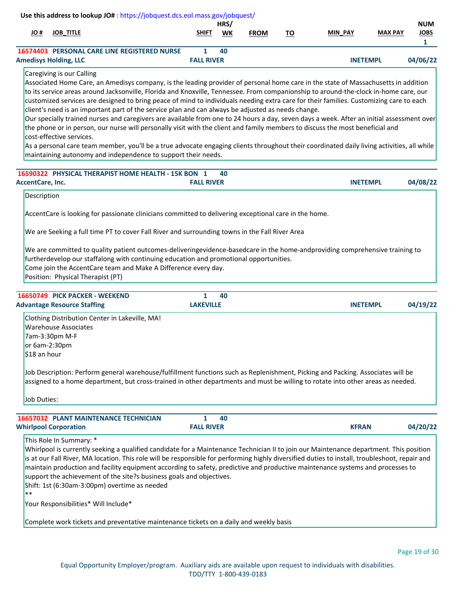|                             |                                                                      | Use this address to lookup JO#: https://jobquest.dcs.eol.mass.gov/jobquest/                                                                                                                                                                                                                                                                                                                                                                                                                                                                                                                                                                                                                                                                                                                                                                                                                                                                                                                                             |                       | HRS/ |             |           |                 |                | <b>NUM</b>                  |
|-----------------------------|----------------------------------------------------------------------|-------------------------------------------------------------------------------------------------------------------------------------------------------------------------------------------------------------------------------------------------------------------------------------------------------------------------------------------------------------------------------------------------------------------------------------------------------------------------------------------------------------------------------------------------------------------------------------------------------------------------------------------------------------------------------------------------------------------------------------------------------------------------------------------------------------------------------------------------------------------------------------------------------------------------------------------------------------------------------------------------------------------------|-----------------------|------|-------------|-----------|-----------------|----------------|-----------------------------|
| # OL                        | <b>JOB_TITLE</b>                                                     |                                                                                                                                                                                                                                                                                                                                                                                                                                                                                                                                                                                                                                                                                                                                                                                                                                                                                                                                                                                                                         | SHIFT                 | WK   | <b>FROM</b> | <u>TO</u> | MIN PAY         | <b>MAX PAY</b> | <b>JOBS</b><br>$\mathbf{1}$ |
|                             |                                                                      | <b>16574403 PERSONAL CARE LINE REGISTERED NURSE</b>                                                                                                                                                                                                                                                                                                                                                                                                                                                                                                                                                                                                                                                                                                                                                                                                                                                                                                                                                                     | $\mathbf{1}$          | 40   |             |           |                 |                |                             |
|                             | <b>Amedisys Holding, LLC</b><br>Caregiving is our Calling            |                                                                                                                                                                                                                                                                                                                                                                                                                                                                                                                                                                                                                                                                                                                                                                                                                                                                                                                                                                                                                         | <b>FALL RIVER</b>     |      |             |           | <b>INETEMPL</b> |                | 04/06/22                    |
|                             | cost-effective services.                                             | Associated Home Care, an Amedisys company, is the leading provider of personal home care in the state of Massachusetts in addition<br>to its service areas around Jacksonville, Florida and Knoxville, Tennessee. From companionship to around-the-clock in-home care, our<br>customized services are designed to bring peace of mind to individuals needing extra care for their families. Customizing care to each<br>client's need is an important part of the service plan and can always be adjusted as needs change.<br>Our specially trained nurses and caregivers are available from one to 24 hours a day, seven days a week. After an initial assessment over<br>the phone or in person, our nurse will personally visit with the client and family members to discuss the most beneficial and<br>As a personal care team member, you'll be a true advocate engaging clients throughout their coordinated daily living activities, all while<br>maintaining autonomy and independence to support their needs. |                       |      |             |           |                 |                |                             |
| AccentCare, Inc.            |                                                                      | 16590322 PHYSICAL THERAPIST HOME HEALTH - 15K BON 1                                                                                                                                                                                                                                                                                                                                                                                                                                                                                                                                                                                                                                                                                                                                                                                                                                                                                                                                                                     | <b>FALL RIVER</b>     | 40   |             |           | <b>INETEMPL</b> |                | 04/08/22                    |
| Description                 |                                                                      |                                                                                                                                                                                                                                                                                                                                                                                                                                                                                                                                                                                                                                                                                                                                                                                                                                                                                                                                                                                                                         |                       |      |             |           |                 |                |                             |
|                             | Position: Physical Therapist (PT)                                    | We are Seeking a full time PT to cover Fall River and surrounding towns in the Fall River Area<br>We are committed to quality patient outcomes-deliveringevidence-basedcare in the home-andproviding comprehensive training to<br>furtherdevelop our staffalong with continuing education and promotional opportunities.<br>Come join the AccentCare team and Make A Difference every day.                                                                                                                                                                                                                                                                                                                                                                                                                                                                                                                                                                                                                              |                       |      |             |           |                 |                |                             |
|                             | 16650749 PICK PACKER - WEEKEND<br><b>Advantage Resource Staffing</b> |                                                                                                                                                                                                                                                                                                                                                                                                                                                                                                                                                                                                                                                                                                                                                                                                                                                                                                                                                                                                                         | 1<br><b>LAKEVILLE</b> | 40   |             |           | <b>INETEMPL</b> |                | 04/19/22                    |
| \$18 an hour<br>Job Duties: | <b>Warehouse Associates</b><br>7am-3:30pm M-F<br>or 6am-2:30pm       | Clothing Distribution Center in Lakeville, MA!<br>Job Description: Perform general warehouse/fulfillment functions such as Replenishment, Picking and Packing. Associates will be<br>assigned to a home department, but cross-trained in other departments and must be willing to rotate into other areas as needed.                                                                                                                                                                                                                                                                                                                                                                                                                                                                                                                                                                                                                                                                                                    |                       |      |             |           |                 |                |                             |
|                             |                                                                      | <b>16657032 PLANT MAINTENANCE TECHNICIAN</b>                                                                                                                                                                                                                                                                                                                                                                                                                                                                                                                                                                                                                                                                                                                                                                                                                                                                                                                                                                            | 1                     | 40   |             |           |                 |                |                             |
|                             | <b>Whirlpool Corporation</b>                                         |                                                                                                                                                                                                                                                                                                                                                                                                                                                                                                                                                                                                                                                                                                                                                                                                                                                                                                                                                                                                                         | <b>FALL RIVER</b>     |      |             |           | <b>KFRAN</b>    |                | 04/20/22                    |
| $***$                       | This Role In Summary: *<br>Your Responsibilities* Will Include*      | Whirlpool is currently seeking a qualified candidate for a Maintenance Technician II to join our Maintenance department. This position<br>is at our Fall River, MA location. This role will be responsible for performing highly diversified duties to install, troubleshoot, repair and<br>maintain production and facility equipment according to safety, predictive and productive maintenance systems and processes to<br>support the achievement of the site?s business goals and objectives.<br>Shift: 1st (6:30am-3:00pm) overtime as needed                                                                                                                                                                                                                                                                                                                                                                                                                                                                     |                       |      |             |           |                 |                |                             |
|                             |                                                                      | Complete work tickets and preventative maintenance tickets on a daily and weekly basis                                                                                                                                                                                                                                                                                                                                                                                                                                                                                                                                                                                                                                                                                                                                                                                                                                                                                                                                  |                       |      |             |           |                 |                |                             |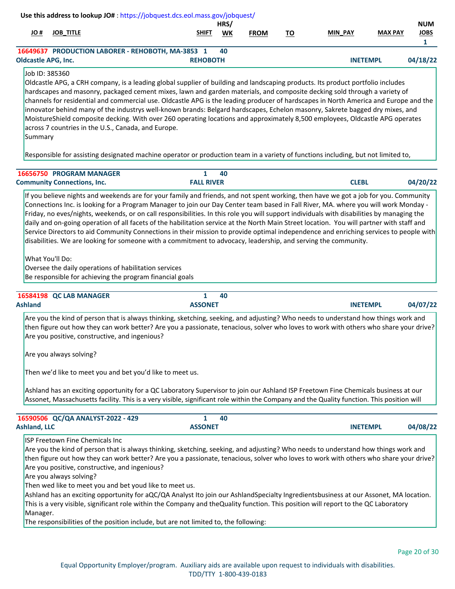|                                              |                                                                                                                     | Use this address to lookup JO#: https://jobquest.dcs.eol.mass.gov/jobquest/                                                                                                                                                                                                                                                                                                                                                                                                                                                                                                                                                                                                                                                                                                                                    |                   |            |             |           |                 |                |                                           |
|----------------------------------------------|---------------------------------------------------------------------------------------------------------------------|----------------------------------------------------------------------------------------------------------------------------------------------------------------------------------------------------------------------------------------------------------------------------------------------------------------------------------------------------------------------------------------------------------------------------------------------------------------------------------------------------------------------------------------------------------------------------------------------------------------------------------------------------------------------------------------------------------------------------------------------------------------------------------------------------------------|-------------------|------------|-------------|-----------|-----------------|----------------|-------------------------------------------|
| # OL                                         | <b>JOB_TITLE</b>                                                                                                    |                                                                                                                                                                                                                                                                                                                                                                                                                                                                                                                                                                                                                                                                                                                                                                                                                | <b>SHIFT</b>      | HRS/<br>WK | <b>FROM</b> | <u>TO</u> | MIN PAY         | <b>MAX PAY</b> | <b>NUM</b><br><b>JOBS</b><br>$\mathbf{1}$ |
|                                              |                                                                                                                     | 16649637 PRODUCTION LABORER - REHOBOTH, MA-3853 1                                                                                                                                                                                                                                                                                                                                                                                                                                                                                                                                                                                                                                                                                                                                                              |                   | 40         |             |           |                 |                |                                           |
| <b>Oldcastle APG, Inc.</b><br>Job ID: 385360 |                                                                                                                     | Oldcastle APG, a CRH company, is a leading global supplier of building and landscaping products. Its product portfolio includes                                                                                                                                                                                                                                                                                                                                                                                                                                                                                                                                                                                                                                                                                | <b>REHOBOTH</b>   |            |             |           | <b>INETEMPL</b> |                | 04/18/22                                  |
| Summary                                      |                                                                                                                     | hardscapes and masonry, packaged cement mixes, lawn and garden materials, and composite decking sold through a variety of<br>channels for residential and commercial use. Oldcastle APG is the leading producer of hardscapes in North America and Europe and the<br>innovator behind many of the industrys well-known brands: Belgard hardscapes, Echelon masonry, Sakrete bagged dry mixes, and<br>MoistureShield composite decking. With over 260 operating locations and approximately 8,500 employees, Oldcastle APG operates<br>across 7 countries in the U.S., Canada, and Europe.                                                                                                                                                                                                                      |                   |            |             |           |                 |                |                                           |
|                                              |                                                                                                                     | Responsible for assisting designated machine operator or production team in a variety of functions including, but not limited to,                                                                                                                                                                                                                                                                                                                                                                                                                                                                                                                                                                                                                                                                              |                   |            |             |           |                 |                |                                           |
|                                              | 16656750 PROGRAM MANAGER                                                                                            |                                                                                                                                                                                                                                                                                                                                                                                                                                                                                                                                                                                                                                                                                                                                                                                                                | $\mathbf{1}$      | 40         |             |           |                 |                |                                           |
|                                              | <b>Community Connections, Inc.</b>                                                                                  |                                                                                                                                                                                                                                                                                                                                                                                                                                                                                                                                                                                                                                                                                                                                                                                                                | <b>FALL RIVER</b> |            |             |           | <b>CLEBL</b>    |                | 04/20/22                                  |
|                                              | What You'll Do:                                                                                                     | Connections Inc. is looking for a Program Manager to join our Day Center team based in Fall River, MA. where you will work Monday -<br>Friday, no eves/nights, weekends, or on call responsibilities. In this role you will support individuals with disabilities by managing the<br>daily and on-going operation of all facets of the habilitation service at the North Main Street location. You will partner with staff and<br>Service Directors to aid Community Connections in their mission to provide optimal independence and enriching services to people with<br>disabilities. We are looking for someone with a commitment to advocacy, leadership, and serving the community.<br>Oversee the daily operations of habilitation services<br>Be responsible for achieving the program financial goals |                   |            |             |           |                 |                |                                           |
|                                              | 16584198 QC LAB MANAGER                                                                                             |                                                                                                                                                                                                                                                                                                                                                                                                                                                                                                                                                                                                                                                                                                                                                                                                                | $\mathbf{1}$      | 40         |             |           |                 |                |                                           |
| <b>Ashland</b>                               |                                                                                                                     |                                                                                                                                                                                                                                                                                                                                                                                                                                                                                                                                                                                                                                                                                                                                                                                                                | <b>ASSONET</b>    |            |             |           | <b>INETEMPL</b> |                | 04/07/22                                  |
|                                              |                                                                                                                     | Are you the kind of person that is always thinking, sketching, seeking, and adjusting? Who needs to understand how things work and<br>then figure out how they can work better? Are you a passionate, tenacious, solver who loves to work with others who share your drive?<br>Are you positive, constructive, and ingenious?                                                                                                                                                                                                                                                                                                                                                                                                                                                                                  |                   |            |             |           |                 |                |                                           |
|                                              | Are you always solving?                                                                                             |                                                                                                                                                                                                                                                                                                                                                                                                                                                                                                                                                                                                                                                                                                                                                                                                                |                   |            |             |           |                 |                |                                           |
|                                              |                                                                                                                     | Then we'd like to meet you and bet you'd like to meet us.                                                                                                                                                                                                                                                                                                                                                                                                                                                                                                                                                                                                                                                                                                                                                      |                   |            |             |           |                 |                |                                           |
|                                              |                                                                                                                     | Ashland has an exciting opportunity for a QC Laboratory Supervisor to join our Ashland ISP Freetown Fine Chemicals business at our<br>Assonet, Massachusetts facility. This is a very visible, significant role within the Company and the Quality function. This position will                                                                                                                                                                                                                                                                                                                                                                                                                                                                                                                                |                   |            |             |           |                 |                |                                           |
|                                              | 16590506 QC/QA ANALYST-2022 - 429                                                                                   |                                                                                                                                                                                                                                                                                                                                                                                                                                                                                                                                                                                                                                                                                                                                                                                                                | $\mathbf{1}$      | 40         |             |           |                 |                |                                           |
| <b>Ashland, LLC</b>                          |                                                                                                                     |                                                                                                                                                                                                                                                                                                                                                                                                                                                                                                                                                                                                                                                                                                                                                                                                                | <b>ASSONET</b>    |            |             |           | <b>INETEMPL</b> |                | 04/08/22                                  |
|                                              | <b>ISP Freetown Fine Chemicals Inc</b><br>Are you positive, constructive, and ingenious?<br>Are you always solving? | Are you the kind of person that is always thinking, sketching, seeking, and adjusting? Who needs to understand how things work and<br>then figure out how they can work better? Are you a passionate, tenacious, solver who loves to work with others who share your drive?<br>Then wed like to meet you and bet youd like to meet us.                                                                                                                                                                                                                                                                                                                                                                                                                                                                         |                   |            |             |           |                 |                |                                           |
| Manager.                                     |                                                                                                                     | Ashland has an exciting opportunity for aQC/QA Analyst Ito join our AshlandSpecialty Ingredientsbusiness at our Assonet, MA location.<br>This is a very visible, significant role within the Company and theQuality function. This position will report to the QC Laboratory<br>The responsibilities of the position include, but are not limited to, the following:                                                                                                                                                                                                                                                                                                                                                                                                                                           |                   |            |             |           |                 |                |                                           |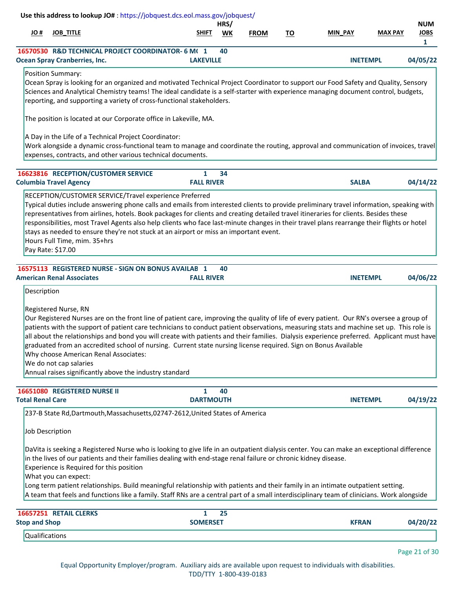|                         |                                                                                         | Use this address to lookup JO#: https://jobquest.dcs.eol.mass.gov/jobquest/                                                                                                                                                                                                                                                                                                                                                                                                                                                                                                                                                              |                                   |            |             |           |                 |                |                                           |
|-------------------------|-----------------------------------------------------------------------------------------|------------------------------------------------------------------------------------------------------------------------------------------------------------------------------------------------------------------------------------------------------------------------------------------------------------------------------------------------------------------------------------------------------------------------------------------------------------------------------------------------------------------------------------------------------------------------------------------------------------------------------------------|-----------------------------------|------------|-------------|-----------|-----------------|----------------|-------------------------------------------|
| # OL                    | <b>JOB_TITLE</b>                                                                        |                                                                                                                                                                                                                                                                                                                                                                                                                                                                                                                                                                                                                                          | <b>SHIFT</b>                      | HRS/<br>WK | <b>FROM</b> | <u>TO</u> | MIN_PAY         | <b>MAX PAY</b> | <b>NUM</b><br><b>JOBS</b><br>$\mathbf{1}$ |
|                         | <b>Ocean Spray Cranberries, Inc.</b>                                                    | 16570530 R&D TECHNICAL PROJECT COORDINATOR- 6 M(1                                                                                                                                                                                                                                                                                                                                                                                                                                                                                                                                                                                        | <b>LAKEVILLE</b>                  | 40         |             |           | <b>INETEMPL</b> |                | 04/05/22                                  |
|                         | Position Summary:                                                                       | Ocean Spray is looking for an organized and motivated Technical Project Coordinator to support our Food Safety and Quality, Sensory<br>Sciences and Analytical Chemistry teams! The ideal candidate is a self-starter with experience managing document control, budgets,<br>reporting, and supporting a variety of cross-functional stakeholders.<br>The position is located at our Corporate office in Lakeville, MA.<br>A Day in the Life of a Technical Project Coordinator:<br>Work alongside a dynamic cross-functional team to manage and coordinate the routing, approval and communication of invoices, travel                  |                                   |            |             |           |                 |                |                                           |
|                         |                                                                                         | expenses, contracts, and other various technical documents.                                                                                                                                                                                                                                                                                                                                                                                                                                                                                                                                                                              |                                   |            |             |           |                 |                |                                           |
|                         | 16623816 RECEPTION/CUSTOMER SERVICE<br><b>Columbia Travel Agency</b>                    |                                                                                                                                                                                                                                                                                                                                                                                                                                                                                                                                                                                                                                          | $\mathbf{1}$<br><b>FALL RIVER</b> | 34         |             |           | <b>SALBA</b>    |                | 04/14/22                                  |
|                         | Hours Full Time, mim. 35+hrs<br>Pay Rate: \$17.00                                       | RECEPTION/CUSTOMER SERVICE/Travel experience Preferred<br>Typical duties include answering phone calls and emails from interested clients to provide preliminary travel information, speaking with<br>representatives from airlines, hotels. Book packages for clients and creating detailed travel itineraries for clients. Besides these<br>responsibilities, most Travel Agents also help clients who face last-minute changes in their travel plans rearrange their flights or hotel<br>stays as needed to ensure they're not stuck at an airport or miss an important event.<br>16575113 REGISTERED NURSE - SIGN ON BONUS AVAILAB 1 |                                   | 40         |             |           |                 |                |                                           |
|                         | <b>American Renal Associates</b>                                                        |                                                                                                                                                                                                                                                                                                                                                                                                                                                                                                                                                                                                                                          | <b>FALL RIVER</b>                 |            |             |           | <b>INETEMPL</b> |                | 04/06/22                                  |
|                         | Registered Nurse, RN<br>Why choose American Renal Associates:<br>We do not cap salaries | Our Registered Nurses are on the front line of patient care, improving the quality of life of every patient. Our RN's oversee a group of<br>patients with the support of patient care technicians to conduct patient observations, measuring stats and machine set up. This role is<br>all about the relationships and bond you will create with patients and their families. Dialysis experience preferred. Applicant must have<br>graduated from an accredited school of nursing. Current state nursing license required. Sign on Bonus Available<br>Annual raises significantly above the industry standard                           |                                   |            |             |           |                 |                |                                           |
|                         | 16651080 REGISTERED NURSE II                                                            |                                                                                                                                                                                                                                                                                                                                                                                                                                                                                                                                                                                                                                          | $\mathbf{1}$                      | 40         |             |           |                 |                |                                           |
| <b>Total Renal Care</b> |                                                                                         |                                                                                                                                                                                                                                                                                                                                                                                                                                                                                                                                                                                                                                          | <b>DARTMOUTH</b>                  |            |             |           | <b>INETEMPL</b> |                | 04/19/22                                  |
|                         | Job Description<br>Experience is Required for this position<br>What you can expect:     | 237-B State Rd, Dartmouth, Massachusetts, 02747-2612, United States of America<br>DaVita is seeking a Registered Nurse who is looking to give life in an outpatient dialysis center. You can make an exceptional difference<br>in the lives of our patients and their families dealing with end-stage renal failure or chronic kidney disease.<br>Long term patient relationships. Build meaningful relationship with patients and their family in an intimate outpatient setting.<br>A team that feels and functions like a family. Staff RNs are a central part of a small interdisciplinary team of clinicians. Work alongside        |                                   |            |             |           |                 |                |                                           |
| <b>Stop and Shop</b>    | 16657251 RETAIL CLERKS                                                                  |                                                                                                                                                                                                                                                                                                                                                                                                                                                                                                                                                                                                                                          | $\mathbf{1}$<br><b>SOMERSET</b>   | 25         |             |           | <b>KFRAN</b>    |                | 04/20/22                                  |
| Qualifications          |                                                                                         |                                                                                                                                                                                                                                                                                                                                                                                                                                                                                                                                                                                                                                          |                                   |            |             |           |                 |                |                                           |
|                         |                                                                                         |                                                                                                                                                                                                                                                                                                                                                                                                                                                                                                                                                                                                                                          |                                   |            |             |           |                 |                | Page 21 of 30                             |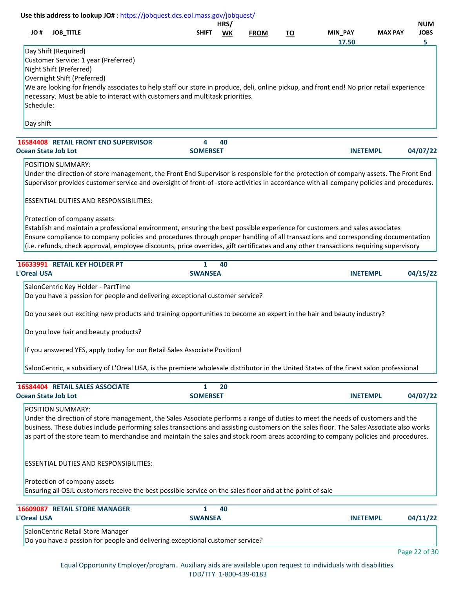| <b>JOB_TITLE</b><br># OL                                                                                                                  | SHIFT                | HRS/<br>WK | <b>FROM</b> | <u>TO</u> | MIN_PAY         | <b>MAX PAY</b> | <b>NUM</b><br><b>JOBS</b> |
|-------------------------------------------------------------------------------------------------------------------------------------------|----------------------|------------|-------------|-----------|-----------------|----------------|---------------------------|
|                                                                                                                                           |                      |            |             |           | 17.50           |                | 5.                        |
| Day Shift (Required)<br>Customer Service: 1 year (Preferred)                                                                              |                      |            |             |           |                 |                |                           |
| Night Shift (Preferred)                                                                                                                   |                      |            |             |           |                 |                |                           |
| Overnight Shift (Preferred)                                                                                                               |                      |            |             |           |                 |                |                           |
| We are looking for friendly associates to help staff our store in produce, deli, online pickup, and front end! No prior retail experience |                      |            |             |           |                 |                |                           |
| necessary. Must be able to interact with customers and multitask priorities.                                                              |                      |            |             |           |                 |                |                           |
| Schedule:                                                                                                                                 |                      |            |             |           |                 |                |                           |
|                                                                                                                                           |                      |            |             |           |                 |                |                           |
| Day shift                                                                                                                                 |                      |            |             |           |                 |                |                           |
| 16584408 RETAIL FRONT END SUPERVISOR                                                                                                      | 4                    | 40         |             |           |                 |                |                           |
| <b>Ocean State Job Lot</b>                                                                                                                | <b>SOMERSET</b>      |            |             |           | <b>INETEMPL</b> |                | 04/07/22                  |
| <b>POSITION SUMMARY:</b>                                                                                                                  |                      |            |             |           |                 |                |                           |
| Under the direction of store management, the Front End Supervisor is responsible for the protection of company assets. The Front End      |                      |            |             |           |                 |                |                           |
| Supervisor provides customer service and oversight of front-of-store activities in accordance with all company policies and procedures.   |                      |            |             |           |                 |                |                           |
|                                                                                                                                           |                      |            |             |           |                 |                |                           |
| <b>ESSENTIAL DUTIES AND RESPONSIBILITIES:</b>                                                                                             |                      |            |             |           |                 |                |                           |
|                                                                                                                                           |                      |            |             |           |                 |                |                           |
| Protection of company assets                                                                                                              |                      |            |             |           |                 |                |                           |
| Establish and maintain a professional environment, ensuring the best possible experience for customers and sales associates               |                      |            |             |           |                 |                |                           |
| Ensure compliance to company policies and procedures through proper handling of all transactions and corresponding documentation          |                      |            |             |           |                 |                |                           |
| (i.e. refunds, check approval, employee discounts, price overrides, gift certificates and any other transactions requiring supervisory    |                      |            |             |           |                 |                |                           |
|                                                                                                                                           |                      |            |             |           |                 |                |                           |
| 16633991 RETAIL KEY HOLDER PT                                                                                                             | $\mathbf{1}$         | 40         |             |           |                 |                |                           |
| L'Oreal USA                                                                                                                               | <b>SWANSEA</b>       |            |             |           | <b>INETEMPL</b> |                | 04/15/22                  |
| SalonCentric Key Holder - PartTime                                                                                                        |                      |            |             |           |                 |                |                           |
| Do you have a passion for people and delivering exceptional customer service?                                                             |                      |            |             |           |                 |                |                           |
|                                                                                                                                           |                      |            |             |           |                 |                |                           |
| Do you seek out exciting new products and training opportunities to become an expert in the hair and beauty industry?                     |                      |            |             |           |                 |                |                           |
| Do you love hair and beauty products?                                                                                                     |                      |            |             |           |                 |                |                           |
|                                                                                                                                           |                      |            |             |           |                 |                |                           |
| If you answered YES, apply today for our Retail Sales Associate Position!                                                                 |                      |            |             |           |                 |                |                           |
|                                                                                                                                           |                      |            |             |           |                 |                |                           |
| SalonCentric, a subsidiary of L'Oreal USA, is the premiere wholesale distributor in the United States of the finest salon professional    |                      |            |             |           |                 |                |                           |
|                                                                                                                                           |                      |            |             |           |                 |                |                           |
| 16584404 RETAIL SALES ASSOCIATE<br><b>Ocean State Job Lot</b>                                                                             | 1<br><b>SOMERSET</b> | 20         |             |           |                 |                | 04/07/22                  |
|                                                                                                                                           |                      |            |             |           | <b>INETEMPL</b> |                |                           |
| POSITION SUMMARY:                                                                                                                         |                      |            |             |           |                 |                |                           |
| Under the direction of store management, the Sales Associate performs a range of duties to meet the needs of customers and the            |                      |            |             |           |                 |                |                           |
| business. These duties include performing sales transactions and assisting customers on the sales floor. The Sales Associate also works   |                      |            |             |           |                 |                |                           |
| as part of the store team to merchandise and maintain the sales and stock room areas according to company policies and procedures.        |                      |            |             |           |                 |                |                           |
|                                                                                                                                           |                      |            |             |           |                 |                |                           |
|                                                                                                                                           |                      |            |             |           |                 |                |                           |
| <b>ESSENTIAL DUTIES AND RESPONSIBILITIES:</b>                                                                                             |                      |            |             |           |                 |                |                           |
| Protection of company assets                                                                                                              |                      |            |             |           |                 |                |                           |
| Ensuring all OSJL customers receive the best possible service on the sales floor and at the point of sale                                 |                      |            |             |           |                 |                |                           |
|                                                                                                                                           |                      |            |             |           |                 |                |                           |
| <b>16609087 RETAIL STORE MANAGER</b>                                                                                                      | 1                    | 40         |             |           |                 |                |                           |
| L'Oreal USA                                                                                                                               | <b>SWANSEA</b>       |            |             |           | <b>INETEMPL</b> |                | 04/11/22                  |
| SalonCentric Retail Store Manager                                                                                                         |                      |            |             |           |                 |                |                           |
| Do you have a passion for people and delivering exceptional customer service?                                                             |                      |            |             |           |                 |                |                           |
|                                                                                                                                           |                      |            |             |           |                 |                |                           |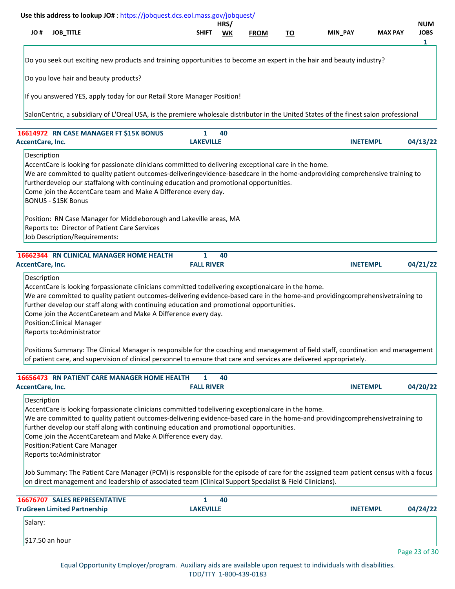| # JO<br><b>JOB_TITLE</b><br><b>MAX PAY</b><br><b>SHIFT</b><br>WK<br><b>FROM</b><br><u>TO</u><br>MIN_PAY<br>Do you seek out exciting new products and training opportunities to become an expert in the hair and beauty industry?<br>Do you love hair and beauty products?<br>If you answered YES, apply today for our Retail Store Manager Position!<br>SalonCentric, a subsidiary of L'Oreal USA, is the premiere wholesale distributor in the United States of the finest salon professional<br>16614972 RN CASE MANAGER FT \$15K BONUS<br>$\mathbf{1}$<br>40<br><b>AccentCare, Inc.</b><br><b>LAKEVILLE</b><br><b>INETEMPL</b><br>Description<br>AccentCare is looking for passionate clinicians committed to delivering exceptional care in the home.<br>We are committed to quality patient outcomes-deliveringevidence-basedcare in the home-andproviding comprehensive training to<br>furtherdevelop our staffalong with continuing education and promotional opportunities.<br>Come join the AccentCare team and Make A Difference every day.<br><b>BONUS - \$15K Bonus</b><br>Position: RN Case Manager for Middleborough and Lakeville areas, MA<br>Reports to: Director of Patient Care Services<br>Job Description/Requirements:<br>16662344 RN CLINICAL MANAGER HOME HEALTH<br>1<br>40<br><b>FALL RIVER</b><br>AccentCare, Inc.<br><b>INETEMPL</b><br>Description<br>AccentCare is looking forpassionate clinicians committed todelivering exceptionalcare in the home.<br>We are committed to quality patient outcomes-delivering evidence-based care in the home-and providingcomprehensivetraining to<br>further develop our staff along with continuing education and promotional opportunities.<br>Come join the AccentCareteam and Make A Difference every day.<br><b>Position:Clinical Manager</b><br>Reports to:Administrator<br>Positions Summary: The Clinical Manager is responsible for the coaching and management of field staff, coordination and management<br>of patient care, and supervision of clinical personnel to ensure that care and services are delivered appropriately.<br>16656473 RN PATIENT CARE MANAGER HOME HEALTH<br>40<br>1<br><b>FALL RIVER</b><br><b>AccentCare, Inc.</b><br><b>INETEMPL</b><br>Description<br>AccentCare is looking forpassionate clinicians committed todelivering exceptionalcare in the home.<br>We are committed to quality patient outcomes-delivering evidence-based care in the home-and providingcomprehensivetraining to<br>further develop our staff along with continuing education and promotional opportunities.<br>Come join the AccentCareteam and Make A Difference every day.<br><b>Position:Patient Care Manager</b><br>Reports to:Administrator<br>Job Summary: The Patient Care Manager (PCM) is responsible for the episode of care for the assigned team patient census with a focus<br>on direct management and leadership of associated team (Clinical Support Specialist & Field Clinicians).<br><b>16676707 SALES REPRESENTATIVE</b><br>$\mathbf{1}$<br>40<br><b>TruGreen Limited Partnership</b><br><b>LAKEVILLE</b><br><b>INETEMPL</b><br>Salary:<br>\$17.50 an hour |  | Use this address to lookup JO#: https://jobquest.dcs.eol.mass.gov/jobquest/ | HRS/ |  |  | <b>NUM</b>       |
|---------------------------------------------------------------------------------------------------------------------------------------------------------------------------------------------------------------------------------------------------------------------------------------------------------------------------------------------------------------------------------------------------------------------------------------------------------------------------------------------------------------------------------------------------------------------------------------------------------------------------------------------------------------------------------------------------------------------------------------------------------------------------------------------------------------------------------------------------------------------------------------------------------------------------------------------------------------------------------------------------------------------------------------------------------------------------------------------------------------------------------------------------------------------------------------------------------------------------------------------------------------------------------------------------------------------------------------------------------------------------------------------------------------------------------------------------------------------------------------------------------------------------------------------------------------------------------------------------------------------------------------------------------------------------------------------------------------------------------------------------------------------------------------------------------------------------------------------------------------------------------------------------------------------------------------------------------------------------------------------------------------------------------------------------------------------------------------------------------------------------------------------------------------------------------------------------------------------------------------------------------------------------------------------------------------------------------------------------------------------------------------------------------------------------------------------------------------------------------------------------------------------------------------------------------------------------------------------------------------------------------------------------------------------------------------------------------------------------------------------------------------------------------------------------------------------------------------------------------------------------------------------------------------------------------------------------------------------------------------------------------------------------------------------------------------------------------------------------------------------------------------------------------------------|--|-----------------------------------------------------------------------------|------|--|--|------------------|
|                                                                                                                                                                                                                                                                                                                                                                                                                                                                                                                                                                                                                                                                                                                                                                                                                                                                                                                                                                                                                                                                                                                                                                                                                                                                                                                                                                                                                                                                                                                                                                                                                                                                                                                                                                                                                                                                                                                                                                                                                                                                                                                                                                                                                                                                                                                                                                                                                                                                                                                                                                                                                                                                                                                                                                                                                                                                                                                                                                                                                                                                                                                                                                     |  |                                                                             |      |  |  | <b>JOBS</b><br>1 |
|                                                                                                                                                                                                                                                                                                                                                                                                                                                                                                                                                                                                                                                                                                                                                                                                                                                                                                                                                                                                                                                                                                                                                                                                                                                                                                                                                                                                                                                                                                                                                                                                                                                                                                                                                                                                                                                                                                                                                                                                                                                                                                                                                                                                                                                                                                                                                                                                                                                                                                                                                                                                                                                                                                                                                                                                                                                                                                                                                                                                                                                                                                                                                                     |  |                                                                             |      |  |  |                  |
|                                                                                                                                                                                                                                                                                                                                                                                                                                                                                                                                                                                                                                                                                                                                                                                                                                                                                                                                                                                                                                                                                                                                                                                                                                                                                                                                                                                                                                                                                                                                                                                                                                                                                                                                                                                                                                                                                                                                                                                                                                                                                                                                                                                                                                                                                                                                                                                                                                                                                                                                                                                                                                                                                                                                                                                                                                                                                                                                                                                                                                                                                                                                                                     |  |                                                                             |      |  |  |                  |
|                                                                                                                                                                                                                                                                                                                                                                                                                                                                                                                                                                                                                                                                                                                                                                                                                                                                                                                                                                                                                                                                                                                                                                                                                                                                                                                                                                                                                                                                                                                                                                                                                                                                                                                                                                                                                                                                                                                                                                                                                                                                                                                                                                                                                                                                                                                                                                                                                                                                                                                                                                                                                                                                                                                                                                                                                                                                                                                                                                                                                                                                                                                                                                     |  |                                                                             |      |  |  |                  |
|                                                                                                                                                                                                                                                                                                                                                                                                                                                                                                                                                                                                                                                                                                                                                                                                                                                                                                                                                                                                                                                                                                                                                                                                                                                                                                                                                                                                                                                                                                                                                                                                                                                                                                                                                                                                                                                                                                                                                                                                                                                                                                                                                                                                                                                                                                                                                                                                                                                                                                                                                                                                                                                                                                                                                                                                                                                                                                                                                                                                                                                                                                                                                                     |  |                                                                             |      |  |  |                  |
|                                                                                                                                                                                                                                                                                                                                                                                                                                                                                                                                                                                                                                                                                                                                                                                                                                                                                                                                                                                                                                                                                                                                                                                                                                                                                                                                                                                                                                                                                                                                                                                                                                                                                                                                                                                                                                                                                                                                                                                                                                                                                                                                                                                                                                                                                                                                                                                                                                                                                                                                                                                                                                                                                                                                                                                                                                                                                                                                                                                                                                                                                                                                                                     |  |                                                                             |      |  |  | 04/13/22         |
|                                                                                                                                                                                                                                                                                                                                                                                                                                                                                                                                                                                                                                                                                                                                                                                                                                                                                                                                                                                                                                                                                                                                                                                                                                                                                                                                                                                                                                                                                                                                                                                                                                                                                                                                                                                                                                                                                                                                                                                                                                                                                                                                                                                                                                                                                                                                                                                                                                                                                                                                                                                                                                                                                                                                                                                                                                                                                                                                                                                                                                                                                                                                                                     |  |                                                                             |      |  |  |                  |
|                                                                                                                                                                                                                                                                                                                                                                                                                                                                                                                                                                                                                                                                                                                                                                                                                                                                                                                                                                                                                                                                                                                                                                                                                                                                                                                                                                                                                                                                                                                                                                                                                                                                                                                                                                                                                                                                                                                                                                                                                                                                                                                                                                                                                                                                                                                                                                                                                                                                                                                                                                                                                                                                                                                                                                                                                                                                                                                                                                                                                                                                                                                                                                     |  |                                                                             |      |  |  |                  |
|                                                                                                                                                                                                                                                                                                                                                                                                                                                                                                                                                                                                                                                                                                                                                                                                                                                                                                                                                                                                                                                                                                                                                                                                                                                                                                                                                                                                                                                                                                                                                                                                                                                                                                                                                                                                                                                                                                                                                                                                                                                                                                                                                                                                                                                                                                                                                                                                                                                                                                                                                                                                                                                                                                                                                                                                                                                                                                                                                                                                                                                                                                                                                                     |  |                                                                             |      |  |  |                  |
|                                                                                                                                                                                                                                                                                                                                                                                                                                                                                                                                                                                                                                                                                                                                                                                                                                                                                                                                                                                                                                                                                                                                                                                                                                                                                                                                                                                                                                                                                                                                                                                                                                                                                                                                                                                                                                                                                                                                                                                                                                                                                                                                                                                                                                                                                                                                                                                                                                                                                                                                                                                                                                                                                                                                                                                                                                                                                                                                                                                                                                                                                                                                                                     |  |                                                                             |      |  |  |                  |
|                                                                                                                                                                                                                                                                                                                                                                                                                                                                                                                                                                                                                                                                                                                                                                                                                                                                                                                                                                                                                                                                                                                                                                                                                                                                                                                                                                                                                                                                                                                                                                                                                                                                                                                                                                                                                                                                                                                                                                                                                                                                                                                                                                                                                                                                                                                                                                                                                                                                                                                                                                                                                                                                                                                                                                                                                                                                                                                                                                                                                                                                                                                                                                     |  |                                                                             |      |  |  | 04/21/22         |
|                                                                                                                                                                                                                                                                                                                                                                                                                                                                                                                                                                                                                                                                                                                                                                                                                                                                                                                                                                                                                                                                                                                                                                                                                                                                                                                                                                                                                                                                                                                                                                                                                                                                                                                                                                                                                                                                                                                                                                                                                                                                                                                                                                                                                                                                                                                                                                                                                                                                                                                                                                                                                                                                                                                                                                                                                                                                                                                                                                                                                                                                                                                                                                     |  |                                                                             |      |  |  |                  |
|                                                                                                                                                                                                                                                                                                                                                                                                                                                                                                                                                                                                                                                                                                                                                                                                                                                                                                                                                                                                                                                                                                                                                                                                                                                                                                                                                                                                                                                                                                                                                                                                                                                                                                                                                                                                                                                                                                                                                                                                                                                                                                                                                                                                                                                                                                                                                                                                                                                                                                                                                                                                                                                                                                                                                                                                                                                                                                                                                                                                                                                                                                                                                                     |  |                                                                             |      |  |  |                  |
|                                                                                                                                                                                                                                                                                                                                                                                                                                                                                                                                                                                                                                                                                                                                                                                                                                                                                                                                                                                                                                                                                                                                                                                                                                                                                                                                                                                                                                                                                                                                                                                                                                                                                                                                                                                                                                                                                                                                                                                                                                                                                                                                                                                                                                                                                                                                                                                                                                                                                                                                                                                                                                                                                                                                                                                                                                                                                                                                                                                                                                                                                                                                                                     |  |                                                                             |      |  |  |                  |
|                                                                                                                                                                                                                                                                                                                                                                                                                                                                                                                                                                                                                                                                                                                                                                                                                                                                                                                                                                                                                                                                                                                                                                                                                                                                                                                                                                                                                                                                                                                                                                                                                                                                                                                                                                                                                                                                                                                                                                                                                                                                                                                                                                                                                                                                                                                                                                                                                                                                                                                                                                                                                                                                                                                                                                                                                                                                                                                                                                                                                                                                                                                                                                     |  |                                                                             |      |  |  | 04/20/22         |
|                                                                                                                                                                                                                                                                                                                                                                                                                                                                                                                                                                                                                                                                                                                                                                                                                                                                                                                                                                                                                                                                                                                                                                                                                                                                                                                                                                                                                                                                                                                                                                                                                                                                                                                                                                                                                                                                                                                                                                                                                                                                                                                                                                                                                                                                                                                                                                                                                                                                                                                                                                                                                                                                                                                                                                                                                                                                                                                                                                                                                                                                                                                                                                     |  |                                                                             |      |  |  |                  |
|                                                                                                                                                                                                                                                                                                                                                                                                                                                                                                                                                                                                                                                                                                                                                                                                                                                                                                                                                                                                                                                                                                                                                                                                                                                                                                                                                                                                                                                                                                                                                                                                                                                                                                                                                                                                                                                                                                                                                                                                                                                                                                                                                                                                                                                                                                                                                                                                                                                                                                                                                                                                                                                                                                                                                                                                                                                                                                                                                                                                                                                                                                                                                                     |  |                                                                             |      |  |  |                  |
|                                                                                                                                                                                                                                                                                                                                                                                                                                                                                                                                                                                                                                                                                                                                                                                                                                                                                                                                                                                                                                                                                                                                                                                                                                                                                                                                                                                                                                                                                                                                                                                                                                                                                                                                                                                                                                                                                                                                                                                                                                                                                                                                                                                                                                                                                                                                                                                                                                                                                                                                                                                                                                                                                                                                                                                                                                                                                                                                                                                                                                                                                                                                                                     |  |                                                                             |      |  |  |                  |
|                                                                                                                                                                                                                                                                                                                                                                                                                                                                                                                                                                                                                                                                                                                                                                                                                                                                                                                                                                                                                                                                                                                                                                                                                                                                                                                                                                                                                                                                                                                                                                                                                                                                                                                                                                                                                                                                                                                                                                                                                                                                                                                                                                                                                                                                                                                                                                                                                                                                                                                                                                                                                                                                                                                                                                                                                                                                                                                                                                                                                                                                                                                                                                     |  |                                                                             |      |  |  | 04/24/22         |
|                                                                                                                                                                                                                                                                                                                                                                                                                                                                                                                                                                                                                                                                                                                                                                                                                                                                                                                                                                                                                                                                                                                                                                                                                                                                                                                                                                                                                                                                                                                                                                                                                                                                                                                                                                                                                                                                                                                                                                                                                                                                                                                                                                                                                                                                                                                                                                                                                                                                                                                                                                                                                                                                                                                                                                                                                                                                                                                                                                                                                                                                                                                                                                     |  |                                                                             |      |  |  |                  |
|                                                                                                                                                                                                                                                                                                                                                                                                                                                                                                                                                                                                                                                                                                                                                                                                                                                                                                                                                                                                                                                                                                                                                                                                                                                                                                                                                                                                                                                                                                                                                                                                                                                                                                                                                                                                                                                                                                                                                                                                                                                                                                                                                                                                                                                                                                                                                                                                                                                                                                                                                                                                                                                                                                                                                                                                                                                                                                                                                                                                                                                                                                                                                                     |  |                                                                             |      |  |  | Page 23 of 30    |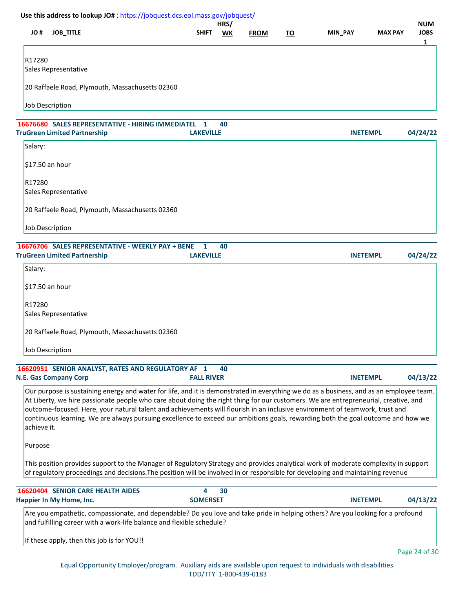| # OL        | <b>JOB_TITLE</b>                                                                                                                                                                                                                                                                                                                                                                                                                                                                                                                                   | <b>SHIFT</b>          | HRS/<br>WK | <b>FROM</b> | <u>TO</u> | MIN_PAY         | <b>MAX PAY</b> | <b>NUM</b><br><b>JOBS</b><br>1 |
|-------------|----------------------------------------------------------------------------------------------------------------------------------------------------------------------------------------------------------------------------------------------------------------------------------------------------------------------------------------------------------------------------------------------------------------------------------------------------------------------------------------------------------------------------------------------------|-----------------------|------------|-------------|-----------|-----------------|----------------|--------------------------------|
| R17280      | Sales Representative                                                                                                                                                                                                                                                                                                                                                                                                                                                                                                                               |                       |            |             |           |                 |                |                                |
|             | 20 Raffaele Road, Plymouth, Massachusetts 02360                                                                                                                                                                                                                                                                                                                                                                                                                                                                                                    |                       |            |             |           |                 |                |                                |
|             | Job Description                                                                                                                                                                                                                                                                                                                                                                                                                                                                                                                                    |                       |            |             |           |                 |                |                                |
|             | 16676680 SALES REPRESENTATIVE - HIRING IMMEDIATEL<br><b>TruGreen Limited Partnership</b>                                                                                                                                                                                                                                                                                                                                                                                                                                                           | 1<br><b>LAKEVILLE</b> | 40         |             |           | <b>INETEMPL</b> |                | 04/24/22                       |
| Salary:     |                                                                                                                                                                                                                                                                                                                                                                                                                                                                                                                                                    |                       |            |             |           |                 |                |                                |
|             | \$17.50 an hour                                                                                                                                                                                                                                                                                                                                                                                                                                                                                                                                    |                       |            |             |           |                 |                |                                |
| R17280      | Sales Representative                                                                                                                                                                                                                                                                                                                                                                                                                                                                                                                               |                       |            |             |           |                 |                |                                |
|             | 20 Raffaele Road, Plymouth, Massachusetts 02360                                                                                                                                                                                                                                                                                                                                                                                                                                                                                                    |                       |            |             |           |                 |                |                                |
|             | <b>Job Description</b>                                                                                                                                                                                                                                                                                                                                                                                                                                                                                                                             |                       |            |             |           |                 |                |                                |
|             | 16676706 SALES REPRESENTATIVE - WEEKLY PAY + BENE<br><b>TruGreen Limited Partnership</b>                                                                                                                                                                                                                                                                                                                                                                                                                                                           | 1<br><b>LAKEVILLE</b> | 40         |             |           | <b>INETEMPL</b> |                | 04/24/22                       |
| Salary:     |                                                                                                                                                                                                                                                                                                                                                                                                                                                                                                                                                    |                       |            |             |           |                 |                |                                |
|             | \$17.50 an hour                                                                                                                                                                                                                                                                                                                                                                                                                                                                                                                                    |                       |            |             |           |                 |                |                                |
| R17280      | Sales Representative                                                                                                                                                                                                                                                                                                                                                                                                                                                                                                                               |                       |            |             |           |                 |                |                                |
|             | 20 Raffaele Road, Plymouth, Massachusetts 02360                                                                                                                                                                                                                                                                                                                                                                                                                                                                                                    |                       |            |             |           |                 |                |                                |
|             | Job Description                                                                                                                                                                                                                                                                                                                                                                                                                                                                                                                                    |                       |            |             |           |                 |                |                                |
|             | 16620951 SENIOR ANALYST, RATES AND REGULATORY AF 1                                                                                                                                                                                                                                                                                                                                                                                                                                                                                                 |                       | 40         |             |           |                 |                |                                |
|             | <b>N.E. Gas Company Corp</b>                                                                                                                                                                                                                                                                                                                                                                                                                                                                                                                       | <b>FALL RIVER</b>     |            |             |           | <b>INETEMPL</b> |                | 04/13/22                       |
| achieve it. | Our purpose is sustaining energy and water for life, and it is demonstrated in everything we do as a business, and as an employee team.<br>At Liberty, we hire passionate people who care about doing the right thing for our customers. We are entrepreneurial, creative, and<br>outcome-focused. Here, your natural talent and achievements will flourish in an inclusive environment of teamwork, trust and<br>continuous learning. We are always pursuing excellence to exceed our ambitions goals, rewarding both the goal outcome and how we |                       |            |             |           |                 |                |                                |
| Purpose     |                                                                                                                                                                                                                                                                                                                                                                                                                                                                                                                                                    |                       |            |             |           |                 |                |                                |
|             | This position provides support to the Manager of Regulatory Strategy and provides analytical work of moderate complexity in support<br>of regulatory proceedings and decisions. The position will be involved in or responsible for developing and maintaining revenue                                                                                                                                                                                                                                                                             |                       |            |             |           |                 |                |                                |
|             | 16620404 SENIOR CARE HEALTH AIDES<br>Happier In My Home, Inc.                                                                                                                                                                                                                                                                                                                                                                                                                                                                                      | 4<br><b>SOMERSET</b>  | 30         |             |           | <b>INETEMPL</b> |                | 04/13/22                       |
|             | Are you empathetic, compassionate, and dependable? Do you love and take pride in helping others? Are you looking for a profound<br>and fulfilling career with a work-life balance and flexible schedule?                                                                                                                                                                                                                                                                                                                                           |                       |            |             |           |                 |                |                                |
|             | If these apply, then this job is for YOU!!                                                                                                                                                                                                                                                                                                                                                                                                                                                                                                         |                       |            |             |           |                 |                |                                |
|             |                                                                                                                                                                                                                                                                                                                                                                                                                                                                                                                                                    |                       |            |             |           |                 |                | Page 24 of 30                  |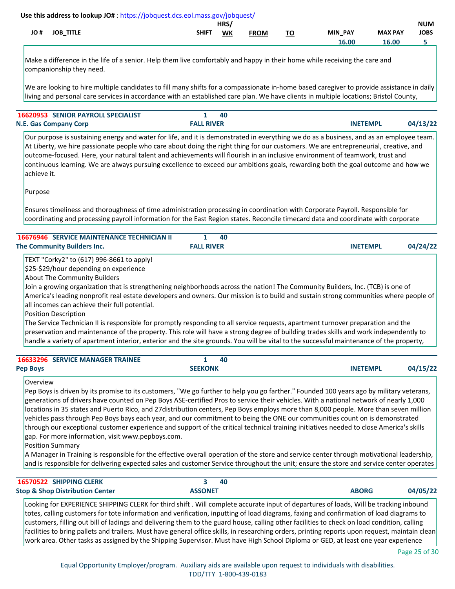|            |                     |              | HRS |             |                  |                   |                | <b>NUM</b>                                         |
|------------|---------------------|--------------|-----|-------------|------------------|-------------------|----------------|----------------------------------------------------|
| <u>JO#</u> | JOB<br><b>TITLE</b> | <b>SHIFT</b> | WK  | <b>FROM</b> | ÷.<br>יי<br>____ | <b>PAY</b><br>MIN | <b>MAX PAY</b> | <b>JOBS</b><br>the contract of the contract of the |
|            |                     |              |     |             |                  | 16.00             | 16.00          |                                                    |

Make a difference in the life of a senior. Help them live comfortably and happy in their home while receiving the care and companionship they need.

We are looking to hire multiple candidates to fill many shifts for a compassionate in-home based caregiver to provide assistance in daily living and personal care services in accordance with an established care plan. We have clients in multiple locations; Bristol County,

| <b>16620953 SENIOR PAYROLL SPECIALIST</b> |                   | 40 |                 |          |
|-------------------------------------------|-------------------|----|-----------------|----------|
| N.E. Gas Company Corp                     | <b>FALL RIVER</b> |    | <b>INETEMPL</b> | 04/13/22 |

Our purpose is sustaining energy and water for life, and it is demonstrated in everything we do as a business, and as an employee team. At Liberty, we hire passionate people who care about doing the right thing for our customers. We are entrepreneurial, creative, and outcome-focused. Here, your natural talent and achievements will flourish in an inclusive environment of teamwork, trust and continuous learning. We are always pursuing excellence to exceed our ambitions goals, rewarding both the goal outcome and how we achieve it.

Purpose

Ensures timeliness and thoroughness of time administration processing in coordination with Corporate Payroll. Responsible for coordinating and processing payroll information for the East Region states. Reconcile timecard data and coordinate with corporate

| <b>16676946 SERVICE MAINTENANCE TECHNICIAN II</b> | - 40              |                             |
|---------------------------------------------------|-------------------|-----------------------------|
| The Community Builders Inc.                       | <b>FALL RIVER</b> | 04/24/22<br><b>INETEMPL</b> |

TEXT "Corky2" to (617) 996-8661 to apply!

\$25-\$29/hour depending on experience

About The Community Builders

Join a growing organization that is strengthening neighborhoods across the nation! The Community Builders, Inc. (TCB) is one of America's leading nonprofit real estate developers and owners. Our mission is to build and sustain strong communities where people of all incomes can achieve their full potential.

Position Description

The Service Technician II is responsible for promptly responding to all service requests, apartment turnover preparation and the preservation and maintenance of the property. This role will have a strong degree of building trades skills and work independently to handle a variety of apartment interior, exterior and the site grounds. You will be vital to the successful maintenance of the property,

| <b>16633296 SERVICE MANAGER TRAINEE</b> |                | 40 |                 |          |
|-----------------------------------------|----------------|----|-----------------|----------|
| <b>Pep Boys</b>                         | <b>SEEKONK</b> |    | <b>INETEMPL</b> | 04/15/22 |

Overview

Pep Boys is driven by its promise to its customers, "We go further to help you go farther." Founded 100 years ago by military veterans, generations of drivers have counted on Pep Boys ASE-certified Pros to service their vehicles. With a national network of nearly 1,000 locations in 35 states and Puerto Rico, and 27distribution centers, Pep Boys employs more than 8,000 people. More than seven million vehicles pass through Pep Boys bays each year, and our commitment to being the ONE our communities count on is demonstrated through our exceptional customer experience and support of the critical technical training initiatives needed to close America's skills gap. For more information, visit www.pepboys.com.

Position Summary

A Manager in Training is responsible for the effective overall operation of the store and service center through motivational leadership, and is responsible for delivering expected sales and customer Service throughout the unit; ensure the store and service center operates

| 16570522 SHIPPING CLERK                                                                                                                  | 40             |              |          |
|------------------------------------------------------------------------------------------------------------------------------------------|----------------|--------------|----------|
| <b>Stop &amp; Shop Distribution Center</b>                                                                                               | <b>ASSONET</b> | <b>ABORG</b> | 04/05/22 |
| Looking for EXPERIENCE SHIPPING CLERK for third shift . Will complete accurate input of departures of loads, Will be tracking inbound    |                |              |          |
| Itotes, calling customers for tote information and verification, inputting of load diagrams, faxing and confirmation of load diagrams to |                |              |          |

totes, calling customers for tote information and verification, inputting of load diagrams, faxing and confirmation of load diagrams to customers, filling out bill of ladings and delivering them to the guard house, calling other facilities to check on load condition, calling facilities to bring pallets and trailers. Must have general office skills, in researching orders, printing reports upon request, maintain clean work area. Other tasks as assigned by the Shipping Supervisor. Must have High School Diploma or GED, at least one year experience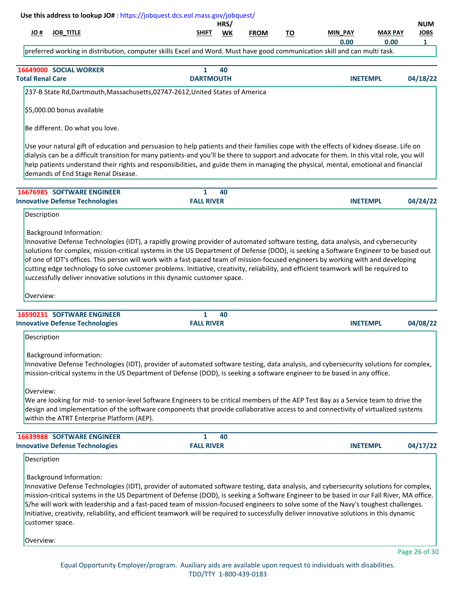|                          | Use this address to lookup JO#: https://jobquest.dcs.eol.mass.gov/jobquest/                                                                                                                                                                                                                                                                                                                                                                                                                                                                                                                                                      |                   | HRS/ |             |           |                        |                        | <b>NUM</b>                  |
|--------------------------|----------------------------------------------------------------------------------------------------------------------------------------------------------------------------------------------------------------------------------------------------------------------------------------------------------------------------------------------------------------------------------------------------------------------------------------------------------------------------------------------------------------------------------------------------------------------------------------------------------------------------------|-------------------|------|-------------|-----------|------------------------|------------------------|-----------------------------|
| # OL                     | <b>JOB_TITLE</b>                                                                                                                                                                                                                                                                                                                                                                                                                                                                                                                                                                                                                 | <b>SHIFT</b>      | WK   | <b>FROM</b> | <u>TO</u> | <b>MIN PAY</b><br>0.00 | <b>MAX PAY</b><br>0.00 | <b>JOBS</b><br>$\mathbf{1}$ |
|                          | preferred working in distribution, computer skills Excel and Word. Must have good communication skill and can multi task.                                                                                                                                                                                                                                                                                                                                                                                                                                                                                                        |                   |      |             |           |                        |                        |                             |
|                          | 16649000 SOCIAL WORKER                                                                                                                                                                                                                                                                                                                                                                                                                                                                                                                                                                                                           | $\mathbf{1}$      | 40   |             |           |                        |                        |                             |
| <b>Total Renal Care</b>  |                                                                                                                                                                                                                                                                                                                                                                                                                                                                                                                                                                                                                                  | <b>DARTMOUTH</b>  |      |             |           |                        | <b>INETEMPL</b>        | 04/18/22                    |
|                          | 237-B State Rd, Dartmouth, Massachusetts, 02747-2612, United States of America                                                                                                                                                                                                                                                                                                                                                                                                                                                                                                                                                   |                   |      |             |           |                        |                        |                             |
|                          | \$5,000.00 bonus available                                                                                                                                                                                                                                                                                                                                                                                                                                                                                                                                                                                                       |                   |      |             |           |                        |                        |                             |
|                          | Be different. Do what you love.                                                                                                                                                                                                                                                                                                                                                                                                                                                                                                                                                                                                  |                   |      |             |           |                        |                        |                             |
|                          | Use your natural gift of education and persuasion to help patients and their families cope with the effects of kidney disease. Life on<br>dialysis can be a difficult transition for many patients-and you'll be there to support and advocate for them. In this vital role, you will<br>help patients understand their rights and responsibilities, and guide them in managing the physical, mental, emotional and financial<br>demands of End Stage Renal Disease.                                                                                                                                                             |                   |      |             |           |                        |                        |                             |
|                          | 16676985 SOFTWARE ENGINEER                                                                                                                                                                                                                                                                                                                                                                                                                                                                                                                                                                                                       | 1                 | 40   |             |           |                        |                        |                             |
|                          | <b>Innovative Defense Technologies</b>                                                                                                                                                                                                                                                                                                                                                                                                                                                                                                                                                                                           | <b>FALL RIVER</b> |      |             |           |                        | <b>INETEMPL</b>        | 04/24/22                    |
| Description              |                                                                                                                                                                                                                                                                                                                                                                                                                                                                                                                                                                                                                                  |                   |      |             |           |                        |                        |                             |
| Overview:                | solutions for complex, mission-critical systems in the US Department of Defense (DOD), is seeking a Software Engineer to be based out<br>of one of IDT's offices. This person will work with a fast-paced team of mission-focused engineers by working with and developing<br>cutting edge technology to solve customer problems. Initiative, creativity, reliability, and efficient teamwork will be required to<br>successfully deliver innovative solutions in this dynamic customer space.                                                                                                                                   |                   |      |             |           |                        |                        |                             |
|                          | 16590231 SOFTWARE ENGINEER                                                                                                                                                                                                                                                                                                                                                                                                                                                                                                                                                                                                       | $\mathbf{1}$      | 40   |             |           |                        |                        |                             |
|                          | <b>Innovative Defense Technologies</b>                                                                                                                                                                                                                                                                                                                                                                                                                                                                                                                                                                                           | <b>FALL RIVER</b> |      |             |           |                        | <b>INETEMPL</b>        | 04/08/22                    |
| Description<br>Overview: | <b>Background information:</b><br>Innovative Defense Technologies (IDT), provider of automated software testing, data analysis, and cybersecurity solutions for complex,<br>mission-critical systems in the US Department of Defense (DOD), is seeking a software engineer to be based in any office.<br>We are looking for mid- to senior-level Software Engineers to be critical members of the AEP Test Bay as a Service team to drive the<br>design and implementation of the software components that provide collaborative access to and connectivity of virtualized systems<br>within the ATRT Enterprise Platform (AEP). |                   |      |             |           |                        |                        |                             |
|                          | 16639988 SOFTWARE ENGINEER                                                                                                                                                                                                                                                                                                                                                                                                                                                                                                                                                                                                       | 1                 | 40   |             |           |                        |                        |                             |
|                          | <b>Innovative Defense Technologies</b>                                                                                                                                                                                                                                                                                                                                                                                                                                                                                                                                                                                           | <b>FALL RIVER</b> |      |             |           |                        | <b>INETEMPL</b>        | 04/17/22                    |
| Description              |                                                                                                                                                                                                                                                                                                                                                                                                                                                                                                                                                                                                                                  |                   |      |             |           |                        |                        |                             |
|                          | <b>Background Information:</b><br>Innovative Defense Technologies (IDT), provider of automated software testing, data analysis, and cybersecurity solutions for complex,<br>mission-critical systems in the US Department of Defense (DOD), is seeking a Software Engineer to be based in our Fall River, MA office.<br>S/he will work with leadership and a fast-paced team of mission-focused engineers to solve some of the Navy's toughest challenges.<br>Initiative, creativity, reliability, and efficient teamwork will be required to successfully deliver innovative solutions in this dynamic<br>customer space.       |                   |      |             |           |                        |                        |                             |
| Overview:                |                                                                                                                                                                                                                                                                                                                                                                                                                                                                                                                                                                                                                                  |                   |      |             |           |                        |                        |                             |

ı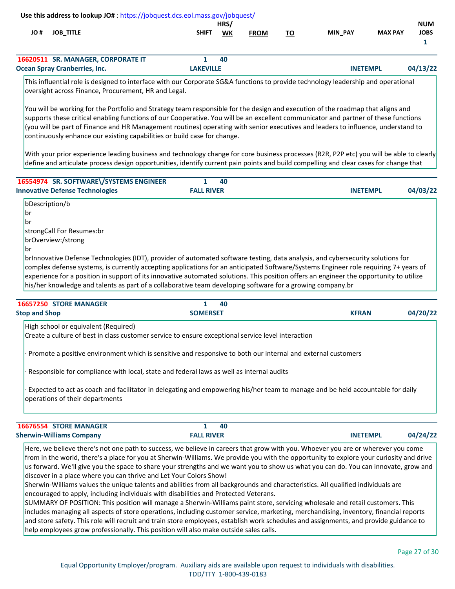|      | Use this address to lookup JO#: https://jobquest.dcs.eol.mass.gov/jobquest/                                                       |                  |      |             |    |                 |                |             |
|------|-----------------------------------------------------------------------------------------------------------------------------------|------------------|------|-------------|----|-----------------|----------------|-------------|
|      |                                                                                                                                   |                  | HRS/ |             |    |                 |                | <b>NUM</b>  |
| # JO | <b>JOB TITLE</b>                                                                                                                  | <b>SHIFT</b>     | WK   | <b>FROM</b> | то | <b>MIN PAY</b>  | <b>MAX PAY</b> | <b>JOBS</b> |
|      |                                                                                                                                   |                  |      |             |    |                 |                |             |
|      | 16620511 SR. MANAGER, CORPORATE IT                                                                                                |                  | 40   |             |    |                 |                |             |
|      | <b>Ocean Spray Cranberries, Inc.</b>                                                                                              | <b>LAKEVILLE</b> |      |             |    | <b>INETEMPL</b> |                | 04/13/22    |
|      | This influential role is designed to interface with our Corporate SG&A functions to provide technology leadership and operational |                  |      |             |    |                 |                |             |
|      | oversight across Finance, Procurement, HR and Legal.                                                                              |                  |      |             |    |                 |                |             |
|      | You will be working for the Portfolio and Strategy team responsible for the design and execution of the roadmap that aligns and   |                  |      |             |    |                 |                |             |

supports these critical enabling functions of our Cooperative. You will be an excellent communicator and partner of these functions (you will be part of Finance and HR Management routines) operating with senior executives and leaders to influence, understand to continuously enhance our existing capabilities or build case for change.

With your prior experience leading business and technology change for core business processes (R2R, P2P etc) you will be able to clearly define and articulate process design opportunities, identify current pain points and build compelling and clear cases for change that

| 16554974 SR. SOFTWARE\/SYSTEMS ENGINEER |                   | 40 |                 |          |
|-----------------------------------------|-------------------|----|-----------------|----------|
| <b>Innovative Defense Technologies</b>  | <b>FALL RIVER</b> |    | <b>INETEMPL</b> | 04/03/22 |
| bDescription/b                          |                   |    |                 |          |

br br strongCall For Resumes:br brOverview:/strong

### br

brInnovative Defense Technologies (IDT), provider of automated software testing, data analysis, and cybersecurity solutions for complex defense systems, is currently accepting applications for an anticipated Software/Systems Engineer role requiring 7+ years of experience for a position in support of its innovative automated solutions. This position offers an engineer the opportunity to utilize his/her knowledge and talents as part of a collaborative team developing software for a growing company.br

| 40 |                 |                                                                                                                                                                                                                                                                                                                                                                                                                                                                  |
|----|-----------------|------------------------------------------------------------------------------------------------------------------------------------------------------------------------------------------------------------------------------------------------------------------------------------------------------------------------------------------------------------------------------------------------------------------------------------------------------------------|
|    |                 | 04/20/22                                                                                                                                                                                                                                                                                                                                                                                                                                                         |
|    |                 |                                                                                                                                                                                                                                                                                                                                                                                                                                                                  |
|    |                 |                                                                                                                                                                                                                                                                                                                                                                                                                                                                  |
|    |                 |                                                                                                                                                                                                                                                                                                                                                                                                                                                                  |
|    |                 |                                                                                                                                                                                                                                                                                                                                                                                                                                                                  |
|    |                 |                                                                                                                                                                                                                                                                                                                                                                                                                                                                  |
|    |                 |                                                                                                                                                                                                                                                                                                                                                                                                                                                                  |
|    | <b>SOMERSET</b> | <b>KFRAN</b><br>Create a culture of best in class customer service to ensure exceptional service level interaction<br>Promote a positive environment which is sensitive and responsive to both our internal and external customers<br>Responsible for compliance with local, state and federal laws as well as internal audits<br>Expected to act as coach and facilitator in delegating and empowering his/her team to manage and be held accountable for daily |

| <u>Ulare wa kaliova tharele net ano path to success wa haliova in careers that growwith vau Whoovervauguar any development</u> |                   |                 |          |
|--------------------------------------------------------------------------------------------------------------------------------|-------------------|-----------------|----------|
| <b>Sherwin-Williams Company</b>                                                                                                | <b>FAIL RIVER</b> | <b>INETEMP'</b> | 04/24/22 |
| <b>IBB/B554 SIORE MANAGER</b>                                                                                                  | 4U                |                 |          |

Here, we believe there's not one path to success, we believe in careers that grow with you. Whoever you are or wherever you come from in the world, there's a place for you at Sherwin-Williams. We provide you with the opportunity to explore your curiosity and drive us forward. We'll give you the space to share your strengths and we want you to show us what you can do. You can innovate, grow and discover in a place where you can thrive and Let Your Colors Show!

Sherwin-Williams values the unique talents and abilities from all backgrounds and characteristics. All qualified individuals are encouraged to apply, including individuals with disabilities and Protected Veterans.

SUMMARY OF POSITION: This position will manage a Sherwin-Williams paint store, servicing wholesale and retail customers. This includes managing all aspects of store operations, including customer service, marketing, merchandising, inventory, financial reports and store safety. This role will recruit and train store employees, establish work schedules and assignments, and provide guidance to help employees grow professionally. This position will also make outside sales calls.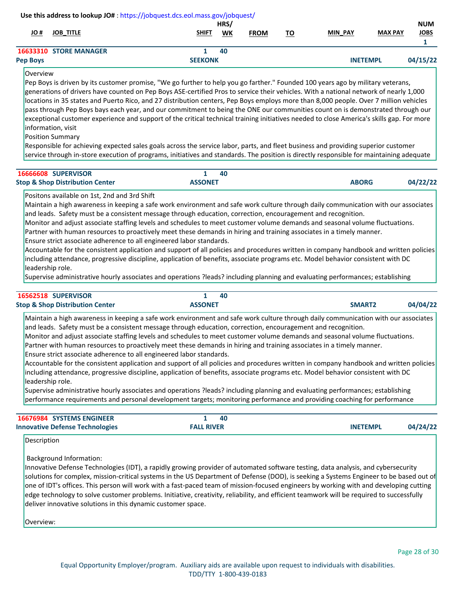#### **JO # JOB\_TITLE SHIFT WK MIN\_PAY MAX PAY JOBS HRS/ NUM FROM Use this address to lookup JO#** [: https://jobquest.dcs.eol.mass.gov/jobquest/](https://jobquest.dcs.eol.mass.gov/jobquest/)   **1**

| <b>STORE MANAGER</b><br>55 I.U | 40             |                                           |
|--------------------------------|----------------|-------------------------------------------|
| <b>Pep Boys</b>                | <b>SEEKONK</b> | $-102$<br><b>MP</b><br>ıл<br>TNIE<br>ב וי |

# Overview

Pep Boys is driven by its customer promise, "We go further to help you go farther." Founded 100 years ago by military veterans, generations of drivers have counted on Pep Boys ASE-certified Pros to service their vehicles. With a national network of nearly 1,000 locations in 35 states and Puerto Rico, and 27 distribution centers, Pep Boys employs more than 8,000 people. Over 7 million vehicles pass through Pep Boys bays each year, and our commitment to being the ONE our communities count on is demonstrated through our exceptional customer experience and support of the critical technical training initiatives needed to close America's skills gap. For more information, visit

Position Summary

Responsible for achieving expected sales goals across the service labor, parts, and fleet business and providing superior customer service through in-store execution of programs, initiatives and standards. The position is directly responsible for maintaining adequate

| <b>16666608 SUPERVISOR</b>                 | 40             |                          |
|--------------------------------------------|----------------|--------------------------|
| <b>Stop &amp; Shop Distribution Center</b> | <b>ASSONET</b> | 04/22/22<br><b>ABORG</b> |

Positons available on 1st, 2nd and 3rd Shift

Maintain a high awareness in keeping a safe work environment and safe work culture through daily communication with our associates and leads. Safety must be a consistent message through education, correction, encouragement and recognition.

Monitor and adjust associate staffing levels and schedules to meet customer volume demands and seasonal volume fluctuations.

Partner with human resources to proactively meet these demands in hiring and training associates in a timely manner.

Ensure strict associate adherence to all engineered labor standards.

Accountable for the consistent application and support of all policies and procedures written in company handbook and written policies including attendance, progressive discipline, application of benefits, associate programs etc. Model behavior consistent with DC leadership role.

Supervise administrative hourly associates and operations ?leads? including planning and evaluating performances; establishing

| 16562518 SUPERVISOR                                                                      | 40                                                                                                                                                                                                                                                                                                                                                                                                                                                                                                                                                                                                                                                                                                                                                                                                                                                                                                                                                                                                                                                     |                    |          |
|------------------------------------------------------------------------------------------|--------------------------------------------------------------------------------------------------------------------------------------------------------------------------------------------------------------------------------------------------------------------------------------------------------------------------------------------------------------------------------------------------------------------------------------------------------------------------------------------------------------------------------------------------------------------------------------------------------------------------------------------------------------------------------------------------------------------------------------------------------------------------------------------------------------------------------------------------------------------------------------------------------------------------------------------------------------------------------------------------------------------------------------------------------|--------------------|----------|
| <b>Stop &amp; Shop Distribution Center</b>                                               | <b>ASSONET</b>                                                                                                                                                                                                                                                                                                                                                                                                                                                                                                                                                                                                                                                                                                                                                                                                                                                                                                                                                                                                                                         | SMART <sub>2</sub> | 04/04/22 |
| Ensure strict associate adherence to all engineered labor standards.<br>leadership role. | Maintain a high awareness in keeping a safe work environment and safe work culture through daily communication with our associates<br>and leads. Safety must be a consistent message through education, correction, encouragement and recognition.<br>Monitor and adjust associate staffing levels and schedules to meet customer volume demands and seasonal volume fluctuations.<br>Partner with human resources to proactively meet these demands in hiring and training associates in a timely manner.<br>Accountable for the consistent application and support of all policies and procedures written in company handbook and written policies<br>including attendance, progressive discipline, application of benefits, associate programs etc. Model behavior consistent with DC<br>Supervise administrative hourly associates and operations ?leads? including planning and evaluating performances; establishing<br>performance requirements and personal development targets; monitoring performance and providing coaching for performance |                    |          |

| <b>16676984 SYSTEMS ENGINEER</b>       |                   | 40 |                 |          |
|----------------------------------------|-------------------|----|-----------------|----------|
| <b>Innovative Defense Technologies</b> | <b>FALL RIVER</b> |    | <b>INETEMPL</b> | 04/24/22 |

Description

Background Information:

Innovative Defense Technologies (IDT), a rapidly growing provider of automated software testing, data analysis, and cybersecurity solutions for complex, mission-critical systems in the US Department of Defense (DOD), is seeking a Systems Engineer to be based out of one of IDT's offices. This person will work with a fast-paced team of mission-focused engineers by working with and developing cutting edge technology to solve customer problems. Initiative, creativity, reliability, and efficient teamwork will be required to successfully deliver innovative solutions in this dynamic customer space.

Overview: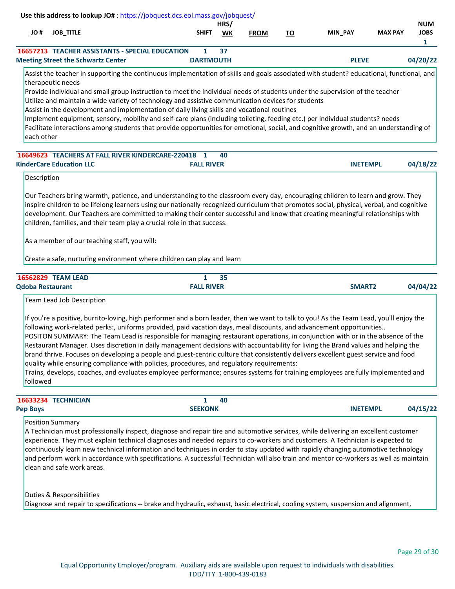|                         | Use this address to lookup JO#: https://jobquest.dcs.eol.mass.gov/jobquest/                                                                                                                                                                                                                                                                                                                                                                                                                                                                                                                                                                                                                                                                                                                                                                                                                                                              |                       |            |             |           |                    |                |                                |
|-------------------------|------------------------------------------------------------------------------------------------------------------------------------------------------------------------------------------------------------------------------------------------------------------------------------------------------------------------------------------------------------------------------------------------------------------------------------------------------------------------------------------------------------------------------------------------------------------------------------------------------------------------------------------------------------------------------------------------------------------------------------------------------------------------------------------------------------------------------------------------------------------------------------------------------------------------------------------|-----------------------|------------|-------------|-----------|--------------------|----------------|--------------------------------|
| <u>JO</u> #             | <b>JOB_TITLE</b>                                                                                                                                                                                                                                                                                                                                                                                                                                                                                                                                                                                                                                                                                                                                                                                                                                                                                                                         | <b>SHIFT</b>          | HRS/<br>WK | <b>FROM</b> | <u>TO</u> | <b>MIN PAY</b>     | <b>MAX PAY</b> | <b>NUM</b><br><b>JOBS</b><br>1 |
|                         | <b>16657213 TEACHER ASSISTANTS - SPECIAL EDUCATION</b><br><b>Meeting Street the Schwartz Center</b>                                                                                                                                                                                                                                                                                                                                                                                                                                                                                                                                                                                                                                                                                                                                                                                                                                      | 1<br><b>DARTMOUTH</b> | 37         |             |           | <b>PLEVE</b>       |                | 04/20/22                       |
|                         | Assist the teacher in supporting the continuous implementation of skills and goals associated with student? educational, functional, and                                                                                                                                                                                                                                                                                                                                                                                                                                                                                                                                                                                                                                                                                                                                                                                                 |                       |            |             |           |                    |                |                                |
| each other              | therapeutic needs<br>Provide individual and small group instruction to meet the individual needs of students under the supervision of the teacher<br>Utilize and maintain a wide variety of technology and assistive communication devices for students<br>Assist in the development and implementation of daily living skills and vocational routines<br>Implement equipment, sensory, mobility and self-care plans (including toileting, feeding etc.) per individual students? needs<br>Facilitate interactions among students that provide opportunities for emotional, social, and cognitive growth, and an understanding of                                                                                                                                                                                                                                                                                                        |                       |            |             |           |                    |                |                                |
|                         | 16649623 TEACHERS AT FALL RIVER KINDERCARE-220418                                                                                                                                                                                                                                                                                                                                                                                                                                                                                                                                                                                                                                                                                                                                                                                                                                                                                        | 1                     | 40         |             |           |                    |                |                                |
|                         | <b>KinderCare Education LLC</b>                                                                                                                                                                                                                                                                                                                                                                                                                                                                                                                                                                                                                                                                                                                                                                                                                                                                                                          | <b>FALL RIVER</b>     |            |             |           | <b>INETEMPL</b>    |                | 04/18/22                       |
| Description             |                                                                                                                                                                                                                                                                                                                                                                                                                                                                                                                                                                                                                                                                                                                                                                                                                                                                                                                                          |                       |            |             |           |                    |                |                                |
|                         | inspire children to be lifelong learners using our nationally recognized curriculum that promotes social, physical, verbal, and cognitive<br>development. Our Teachers are committed to making their center successful and know that creating meaningful relationships with<br>children, families, and their team play a crucial role in that success.<br>As a member of our teaching staff, you will:<br>Create a safe, nurturing environment where children can play and learn                                                                                                                                                                                                                                                                                                                                                                                                                                                         |                       |            |             |           |                    |                |                                |
|                         | 16562829 TEAM LEAD                                                                                                                                                                                                                                                                                                                                                                                                                                                                                                                                                                                                                                                                                                                                                                                                                                                                                                                       | $\mathbf{1}$          | 35         |             |           |                    |                |                                |
| <b>Qdoba Restaurant</b> |                                                                                                                                                                                                                                                                                                                                                                                                                                                                                                                                                                                                                                                                                                                                                                                                                                                                                                                                          | <b>FALL RIVER</b>     |            |             |           | SMART <sub>2</sub> |                | 04/04/22                       |
| followed                | Team Lead Job Description<br>If you're a positive, burrito-loving, high performer and a born leader, then we want to talk to you! As the Team Lead, you'll enjoy the<br>following work-related perks:, uniforms provided, paid vacation days, meal discounts, and advancement opportunities<br>POSITON SUMMARY: The Team Lead is responsible for managing restaurant operations, in conjunction with or in the absence of the<br>Restaurant Manager. Uses discretion in daily management decisions with accountability for living the Brand values and helping the<br>brand thrive. Focuses on developing a people and guest-centric culture that consistently delivers excellent guest service and food<br>quality while ensuring compliance with policies, procedures, and regulatory requirements:<br>Trains, develops, coaches, and evaluates employee performance; ensures systems for training employees are fully implemented and |                       |            |             |           |                    |                |                                |
|                         | 16633234 TECHNICIAN                                                                                                                                                                                                                                                                                                                                                                                                                                                                                                                                                                                                                                                                                                                                                                                                                                                                                                                      | $\mathbf{1}$          | 40         |             |           |                    |                |                                |
| <b>Pep Boys</b>         |                                                                                                                                                                                                                                                                                                                                                                                                                                                                                                                                                                                                                                                                                                                                                                                                                                                                                                                                          | <b>SEEKONK</b>        |            |             |           | <b>INETEMPL</b>    |                | 04/15/22                       |
|                         | <b>Position Summary</b>                                                                                                                                                                                                                                                                                                                                                                                                                                                                                                                                                                                                                                                                                                                                                                                                                                                                                                                  |                       |            |             |           |                    |                |                                |

Duties & Responsibilities Diagnose and repair to specifications -- brake and hydraulic, exhaust, basic electrical, cooling system, suspension and alignment,